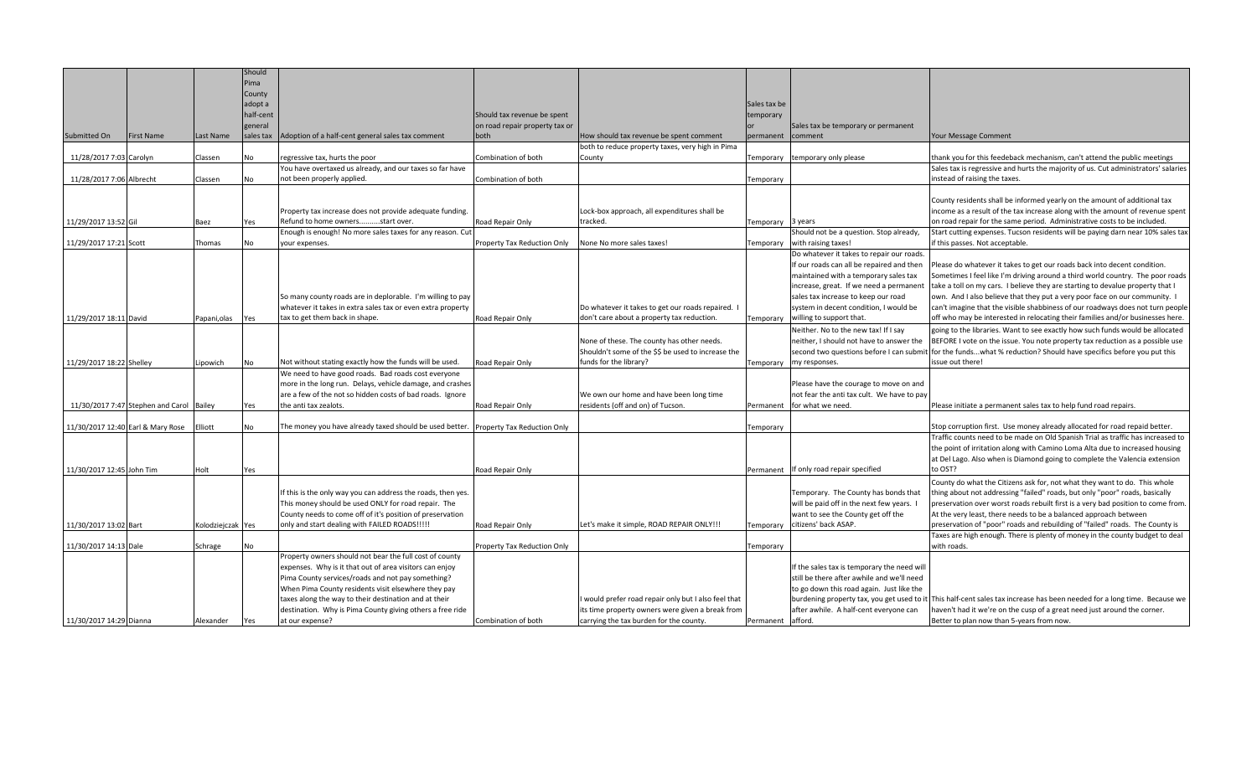|                           |                                          |                   | Should    |                                                              |                                |                                                    |                   |                                             |                                                                                                                            |
|---------------------------|------------------------------------------|-------------------|-----------|--------------------------------------------------------------|--------------------------------|----------------------------------------------------|-------------------|---------------------------------------------|----------------------------------------------------------------------------------------------------------------------------|
|                           |                                          |                   | Pima      |                                                              |                                |                                                    |                   |                                             |                                                                                                                            |
|                           |                                          |                   | County    |                                                              |                                |                                                    |                   |                                             |                                                                                                                            |
|                           |                                          |                   | adopt a   |                                                              |                                |                                                    | Sales tax be      |                                             |                                                                                                                            |
|                           |                                          |                   | half-cent |                                                              | Should tax revenue be spent    |                                                    | temporary         |                                             |                                                                                                                            |
|                           |                                          |                   | general   |                                                              | on road repair property tax or |                                                    |                   | Sales tax be temporary or permanent         |                                                                                                                            |
| Submitted On              | First Name                               | Last Name         | sales tax | Adoption of a half-cent general sales tax comment            | both                           | How should tax revenue be spent comment            | permanent         | comment                                     | Your Message Comment                                                                                                       |
|                           |                                          |                   |           |                                                              |                                | both to reduce property taxes, very high in Pima   |                   |                                             |                                                                                                                            |
| 11/28/2017 7:03 Carolyn   |                                          | Classen           | No        | regressive tax, hurts the poor                               | Combination of both            | County                                             | Temporary         | temporary only please                       | thank you for this feedeback mechanism, can't attend the public meetings                                                   |
|                           |                                          |                   |           | You have overtaxed us already, and our taxes so far have     |                                |                                                    |                   |                                             | Sales tax is regressive and hurts the majority of us. Cut administrators' salaries                                         |
| 11/28/2017 7:06 Albrecht  |                                          | Classen           | No        | not been properly applied.                                   | Combination of both            |                                                    | <b>Temporary</b>  |                                             | instead of raising the taxes.                                                                                              |
|                           |                                          |                   |           |                                                              |                                |                                                    |                   |                                             |                                                                                                                            |
|                           |                                          |                   |           |                                                              |                                |                                                    |                   |                                             | County residents shall be informed yearly on the amount of additional tax                                                  |
|                           |                                          |                   |           | Property tax increase does not provide adequate funding.     |                                | Lock-box approach, all expenditures shall be       |                   |                                             | income as a result of the tax increase along with the amount of revenue spent                                              |
| 11/29/2017 13:52 Gil      |                                          | Baez              | Yes       | Refund to home ownersstart over.                             | Road Repair Only               | tracked.                                           | Femporary 3 years |                                             | on road repair for the same period. Administrative costs to be included.                                                   |
|                           |                                          |                   |           | Enough is enough! No more sales taxes for any reason. Cut    |                                |                                                    |                   | Should not be a question. Stop already,     | Start cutting expenses. Tucson residents will be paying darn near 10% sales tax                                            |
| 11/29/2017 17:21 Scott    |                                          | Thomas            | <b>No</b> | your expenses.                                               | Property Tax Reduction Only    | None No more sales taxes!                          | Temporary         | with raising taxes!                         | if this passes. Not acceptable.                                                                                            |
|                           |                                          |                   |           |                                                              |                                |                                                    |                   | Do whatever it takes to repair our roads.   |                                                                                                                            |
|                           |                                          |                   |           |                                                              |                                |                                                    |                   | If our roads can all be repaired and then   | Please do whatever it takes to get our roads back into decent condition.                                                   |
|                           |                                          |                   |           |                                                              |                                |                                                    |                   | maintained with a temporary sales tax       | Sometimes I feel like I'm driving around a third world country. The poor roads                                             |
|                           |                                          |                   |           |                                                              |                                |                                                    |                   | increase, great. If we need a permanent     | take a toll on my cars. I believe they are starting to devalue property that I                                             |
|                           |                                          |                   |           | So many county roads are in deplorable. I'm willing to pay   |                                |                                                    |                   | sales tax increase to keep our road         | own. And I also believe that they put a very poor face on our community. I                                                 |
|                           |                                          |                   |           | whatever it takes in extra sales tax or even extra property  |                                | Do whatever it takes to get our roads repaired. I  |                   | system in decent condition, I would be      | can't imagine that the visible shabbiness of our roadways does not turn people                                             |
| 11/29/2017 18:11 David    |                                          | Papani, olas      | Yes       | tax to get them back in shape.                               | Road Repair Only               | don't care about a property tax reduction.         | Temporary         | willing to support that.                    | off who may be interested in relocating their families and/or businesses here.                                             |
|                           |                                          |                   |           |                                                              |                                |                                                    |                   | Neither. No to the new tax! If I say        | going to the libraries. Want to see exactly how such funds would be allocated                                              |
|                           |                                          |                   |           |                                                              |                                | None of these. The county has other needs.         |                   | neither, I should not have to answer the    | BEFORE I vote on the issue. You note property tax reduction as a possible use                                              |
|                           |                                          |                   |           |                                                              |                                | Shouldn't some of the \$\$ be used to increase the |                   |                                             | second two questions before I can submit for the fundswhat % reduction? Should have specifics before you put this          |
| 11/29/2017 18:22 Shelley  |                                          | Lipowich          | No        | Not without stating exactly how the funds will be used.      | Road Repair Only               | funds for the library?                             | Temporary         | my responses.                               | issue out there!                                                                                                           |
|                           |                                          |                   |           | We need to have good roads. Bad roads cost everyone          |                                |                                                    |                   |                                             |                                                                                                                            |
|                           |                                          |                   |           | more in the long run. Delays, vehicle damage, and crashes    |                                |                                                    |                   | Please have the courage to move on and      |                                                                                                                            |
|                           |                                          |                   |           | are a few of the not so hidden costs of bad roads. Ignore    |                                | We own our home and have been long time            |                   | not fear the anti tax cult. We have to pay  |                                                                                                                            |
|                           | 11/30/2017 7:47 Stephen and Carol Bailey |                   | Yes       | the anti tax zealots.                                        | Road Repair Only               | residents (off and on) of Tucson                   | Permanent         | for what we need.                           | Please initiate a permanent sales tax to help fund road repairs.                                                           |
|                           |                                          |                   |           |                                                              |                                |                                                    |                   |                                             |                                                                                                                            |
|                           | 11/30/2017 12:40 Earl & Mary Rose        | Elliott           | No        | The money you have already taxed should be used better.      | Property Tax Reduction Only    |                                                    | Temporary         |                                             | Stop corruption first. Use money already allocated for road repaid better.                                                 |
|                           |                                          |                   |           |                                                              |                                |                                                    |                   |                                             | Traffic counts need to be made on Old Spanish Trial as traffic has increased to                                            |
|                           |                                          |                   |           |                                                              |                                |                                                    |                   |                                             | the point of irritation along with Camino Loma Alta due to increased housing                                               |
|                           |                                          |                   |           |                                                              |                                |                                                    |                   |                                             | at Del Lago. Also when is Diamond going to complete the Valencia extension                                                 |
| 11/30/2017 12:45 John Tim |                                          | Holt              | Yes       |                                                              | Road Repair Only               |                                                    |                   | Permanent If only road repair specified     | to OST?                                                                                                                    |
|                           |                                          |                   |           |                                                              |                                |                                                    |                   |                                             | County do what the Citizens ask for, not what they want to do. This whole                                                  |
|                           |                                          |                   |           | If this is the only way you can address the roads, then yes. |                                |                                                    |                   | Temporary. The County has bonds that        | hing about not addressing "failed" roads, but only "poor" roads, basically                                                 |
|                           |                                          |                   |           | This money should be used ONLY for road repair. The          |                                |                                                    |                   | will be paid off in the next few years. I   | preservation over worst roads rebuilt first is a very bad position to come from.                                           |
|                           |                                          |                   |           | County needs to come off of it's position of preservation    |                                |                                                    |                   | want to see the County get off the          | At the very least, there needs to be a balanced approach between                                                           |
| 11/30/2017 13:02 Bart     |                                          | Kolodziejczak Yes |           | only and start dealing with FAILED ROADS !!!!!               | Road Repair Only               | Let's make it simple, ROAD REPAIR ONLY!!!          | <b>Temporary</b>  | citizens' back ASAP.                        | preservation of "poor" roads and rebuilding of "failed" roads. The County is                                               |
|                           |                                          |                   |           |                                                              |                                |                                                    |                   |                                             | Taxes are high enough. There is plenty of money in the county budget to deal                                               |
| 11/30/2017 14:13 Dale     |                                          | Schrage           | No        |                                                              | Property Tax Reduction Only    |                                                    | Temporary         |                                             | with roads.                                                                                                                |
|                           |                                          |                   |           | Property owners should not bear the full cost of county      |                                |                                                    |                   |                                             |                                                                                                                            |
|                           |                                          |                   |           | expenses. Why is it that out of area visitors can enjoy      |                                |                                                    |                   | If the sales tax is temporary the need will |                                                                                                                            |
|                           |                                          |                   |           | Pima County services/roads and not pay something?            |                                |                                                    |                   | still be there after awhile and we'll need  |                                                                                                                            |
|                           |                                          |                   |           | When Pima County residents visit elsewhere they pay          |                                |                                                    |                   | to go down this road again. Just like the   |                                                                                                                            |
|                           |                                          |                   |           | taxes along the way to their destination and at their        |                                | would prefer road repair only but I also feel that |                   |                                             | burdening property tax, you get used to it   This half-cent sales tax increase has been needed for a long time. Because we |
|                           |                                          |                   |           | destination. Why is Pima County giving others a free ride    |                                | its time property owners were given a break from   |                   | after awhile. A half-cent everyone can      | haven't had it we're on the cusp of a great need just around the corner.                                                   |
| 11/30/2017 14:29 Dianna   |                                          | Alexander         | Yes       | at our expense?                                              | Combination of both            | carrying the tax burden for the county.            | Permanent afford. |                                             | Better to plan now than 5-years from now.                                                                                  |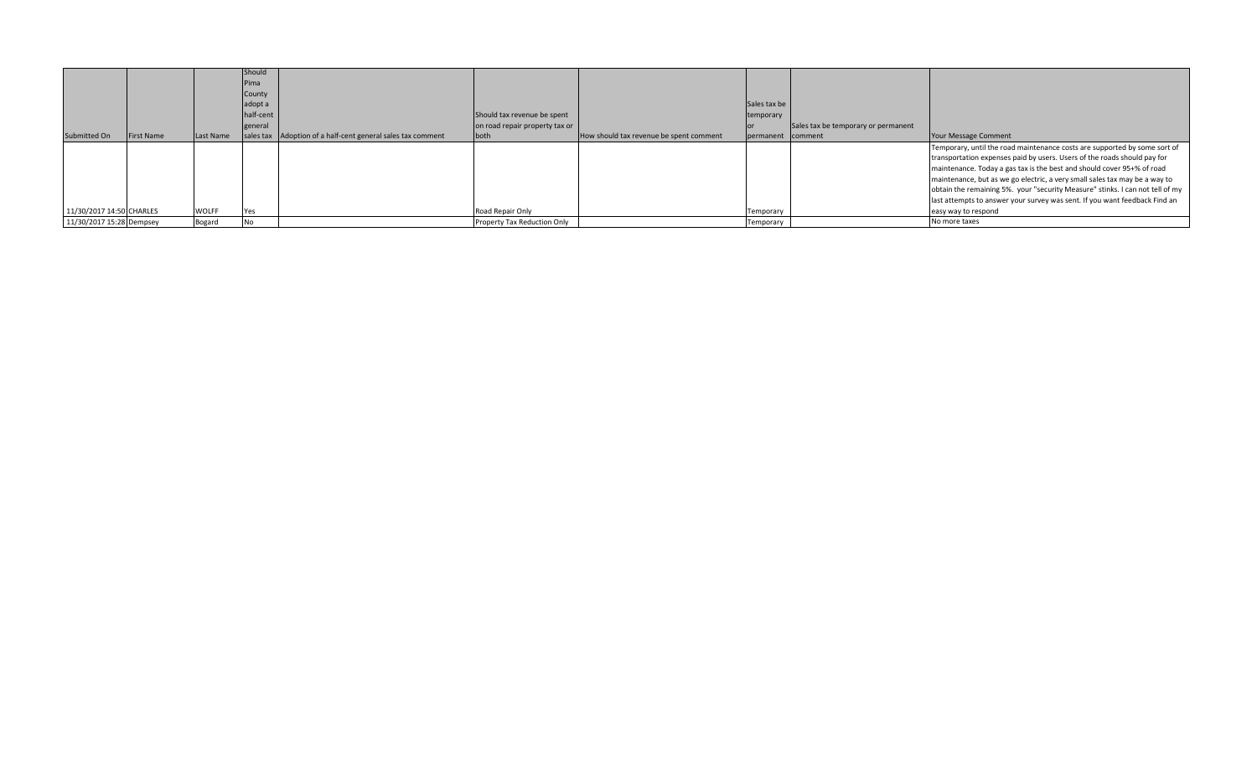| <b>WOLFF</b><br>11/30/2017 14:50 CHARLES<br>Road Repair Only<br>easy way to respond<br><b>Yes</b><br>Temporary | Submitted On | <b>First Name</b> | Last Name | Should<br>Pima<br>County<br>adopt a<br>half-cent<br>general | sales tax Adoption of a half-cent general sales tax comment | Should tax revenue be spent<br>on road repair property tax or<br>both | How should tax revenue be spent comment | Sales tax be<br>temporary<br>permanent comment | Sales tax be temporary or permanent | Your Message Comment                                                                                                                                                                                                                                                                                                                                                                                                                                                         |
|----------------------------------------------------------------------------------------------------------------|--------------|-------------------|-----------|-------------------------------------------------------------|-------------------------------------------------------------|-----------------------------------------------------------------------|-----------------------------------------|------------------------------------------------|-------------------------------------|------------------------------------------------------------------------------------------------------------------------------------------------------------------------------------------------------------------------------------------------------------------------------------------------------------------------------------------------------------------------------------------------------------------------------------------------------------------------------|
| 11/30/2017 15:28 Dempsey<br>Property Tax Reduction Only<br><b>No</b><br>Bogard<br>No more taxes<br>Temporary   |              |                   |           |                                                             |                                                             |                                                                       |                                         |                                                |                                     | Temporary, until the road maintenance costs are supported by some sort of<br>transportation expenses paid by users. Users of the roads should pay for<br>maintenance. Today a gas tax is the best and should cover 95+% of road<br>maintenance, but as we go electric, a very small sales tax may be a way to<br>obtain the remaining 5%. your "security Measure" stinks. I can not tell of my<br>last attempts to answer your survey was sent. If you want feedback Find an |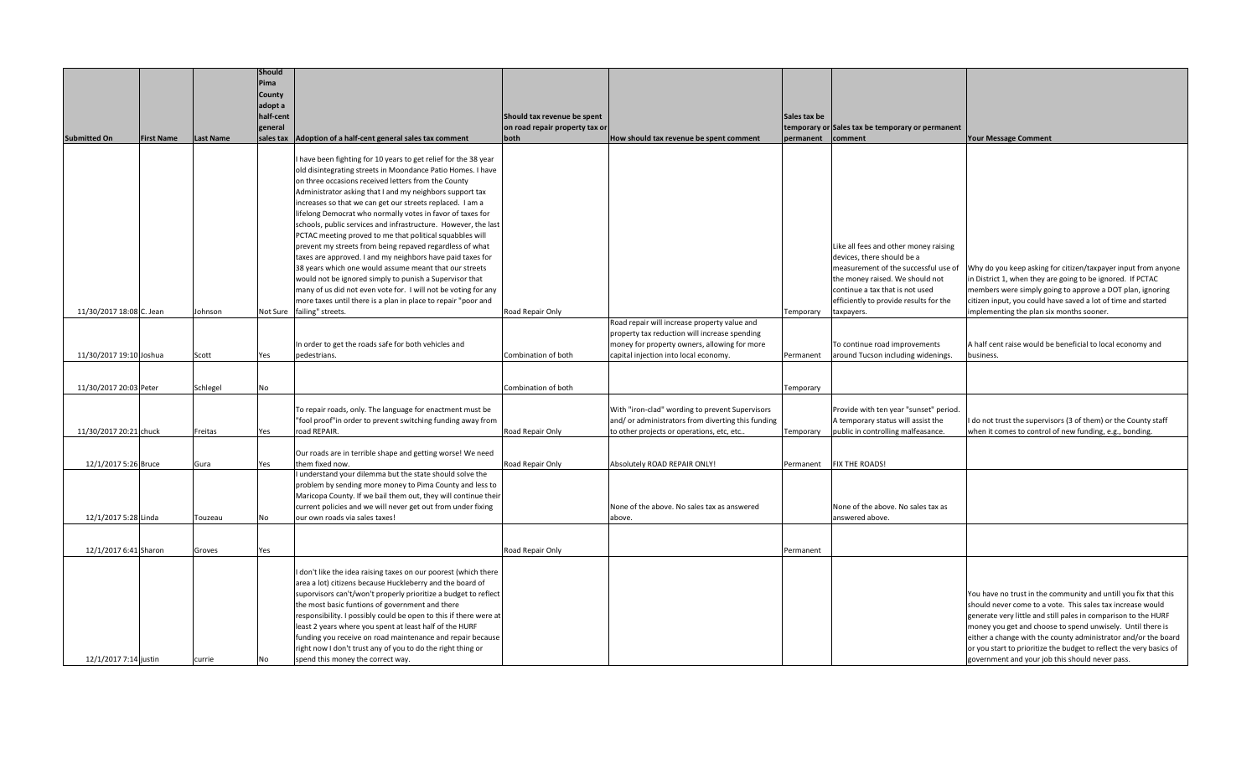|                          |                   |                  | Should<br>Pima           |                                                                                                                      |                                |                                                                                               |                   |                                                  |                                                                                                                        |
|--------------------------|-------------------|------------------|--------------------------|----------------------------------------------------------------------------------------------------------------------|--------------------------------|-----------------------------------------------------------------------------------------------|-------------------|--------------------------------------------------|------------------------------------------------------------------------------------------------------------------------|
|                          |                   |                  | <b>County</b><br>adopt a |                                                                                                                      |                                |                                                                                               |                   |                                                  |                                                                                                                        |
|                          |                   |                  | half-cent                |                                                                                                                      | Should tax revenue be spent    |                                                                                               | Sales tax be      |                                                  |                                                                                                                        |
|                          |                   |                  | general                  |                                                                                                                      | on road repair property tax or |                                                                                               |                   | temporary or Sales tax be temporary or permanent |                                                                                                                        |
| <b>Submitted On</b>      | <b>First Name</b> | <b>Last Name</b> |                          | sales tax Adoption of a half-cent general sales tax comment                                                          | both                           | How should tax revenue be spent comment                                                       | permanent comment |                                                  | <b>Your Message Comment</b>                                                                                            |
|                          |                   |                  |                          | have been fighting for 10 years to get relief for the 38 year                                                        |                                |                                                                                               |                   |                                                  |                                                                                                                        |
|                          |                   |                  |                          | old disintegrating streets in Moondance Patio Homes. I have                                                          |                                |                                                                                               |                   |                                                  |                                                                                                                        |
|                          |                   |                  |                          | on three occasions received letters from the County                                                                  |                                |                                                                                               |                   |                                                  |                                                                                                                        |
|                          |                   |                  |                          | Administrator asking that I and my neighbors support tax                                                             |                                |                                                                                               |                   |                                                  |                                                                                                                        |
|                          |                   |                  |                          | increases so that we can get our streets replaced. I am a                                                            |                                |                                                                                               |                   |                                                  |                                                                                                                        |
|                          |                   |                  |                          | lifelong Democrat who normally votes in favor of taxes for                                                           |                                |                                                                                               |                   |                                                  |                                                                                                                        |
|                          |                   |                  |                          | schools, public services and infrastructure. However, the last                                                       |                                |                                                                                               |                   |                                                  |                                                                                                                        |
|                          |                   |                  |                          | PCTAC meeting proved to me that political squabbles will<br>prevent my streets from being repaved regardless of what |                                |                                                                                               |                   | Like all fees and other money raising            |                                                                                                                        |
|                          |                   |                  |                          | taxes are approved. I and my neighbors have paid taxes for                                                           |                                |                                                                                               |                   | devices, there should be a                       |                                                                                                                        |
|                          |                   |                  |                          | 38 years which one would assume meant that our streets                                                               |                                |                                                                                               |                   |                                                  | measurement of the successful use of   Why do you keep asking for citizen/taxpayer input from anyone                   |
|                          |                   |                  |                          | would not be ignored simply to punish a Supervisor that                                                              |                                |                                                                                               |                   | the money raised. We should not                  | in District 1, when they are going to be ignored. If PCTAC                                                             |
|                          |                   |                  |                          | many of us did not even vote for. I will not be voting for any                                                       |                                |                                                                                               |                   | continue a tax that is not used                  | members were simply going to approve a DOT plan, ignoring                                                              |
|                          |                   |                  |                          | more taxes until there is a plan in place to repair "poor and                                                        |                                |                                                                                               |                   | efficiently to provide results for the           | citizen input, you could have saved a lot of time and started                                                          |
| 11/30/2017 18:08 C. Jean |                   | Johnson          |                          | Not Sure failing" streets.                                                                                           | Road Repair Only               |                                                                                               | Temporary         | taxpayers.                                       | implementing the plan six months sooner.                                                                               |
|                          |                   |                  |                          |                                                                                                                      |                                | Road repair will increase property value and<br>property tax reduction will increase spending |                   |                                                  |                                                                                                                        |
|                          |                   |                  |                          | In order to get the roads safe for both vehicles and                                                                 |                                | money for property owners, allowing for more                                                  |                   | To continue road improvements                    | A half cent raise would be beneficial to local economy and                                                             |
| 11/30/2017 19:10 Joshua  |                   | Scott            | Yes                      | pedestrians.                                                                                                         | Combination of both            | capital injection into local economy.                                                         | Permanent         | around Tucson including widenings.               | business.                                                                                                              |
|                          |                   |                  |                          |                                                                                                                      |                                |                                                                                               |                   |                                                  |                                                                                                                        |
|                          |                   |                  |                          |                                                                                                                      |                                |                                                                                               |                   |                                                  |                                                                                                                        |
| 11/30/2017 20:03 Peter   |                   | Schlegel         | No                       |                                                                                                                      | Combination of both            |                                                                                               | Temporary         |                                                  |                                                                                                                        |
|                          |                   |                  |                          | To repair roads, only. The language for enactment must be                                                            |                                | With "iron-clad" wording to prevent Supervisors                                               |                   | Provide with ten year "sunset" period.           |                                                                                                                        |
|                          |                   |                  |                          | "fool proof"in order to prevent switching funding away from                                                          |                                | and/ or administrators from diverting this funding                                            |                   | A temporary status will assist the               | I do not trust the supervisors (3 of them) or the County staff                                                         |
| 11/30/2017 20:21 chuck   |                   | Freitas          | Yes                      | road REPAIR.                                                                                                         | Road Repair Only               | to other projects or operations, etc, etc                                                     | Temporary         | public in controlling malfeasance.               | when it comes to control of new funding, e.g., bonding.                                                                |
|                          |                   |                  |                          | Our roads are in terrible shape and getting worse! We need                                                           |                                |                                                                                               |                   |                                                  |                                                                                                                        |
| 12/1/2017 5:26 Bruce     |                   | Gura             | Yes                      | them fixed now.                                                                                                      | Road Repair Only               | Absolutely ROAD REPAIR ONLY!                                                                  | Permanent         | FIX THE ROADS!                                   |                                                                                                                        |
|                          |                   |                  |                          | I understand your dilemma but the state should solve the                                                             |                                |                                                                                               |                   |                                                  |                                                                                                                        |
|                          |                   |                  |                          | problem by sending more money to Pima County and less to                                                             |                                |                                                                                               |                   |                                                  |                                                                                                                        |
|                          |                   |                  |                          | Maricopa County. If we bail them out, they will continue their                                                       |                                |                                                                                               |                   |                                                  |                                                                                                                        |
|                          |                   |                  |                          | current policies and we will never get out from under fixing                                                         |                                | None of the above. No sales tax as answered                                                   |                   | None of the above. No sales tax as               |                                                                                                                        |
| 12/1/2017 5:28 Linda     |                   | Touzeau          | No                       | our own roads via sales taxes!                                                                                       |                                | above.                                                                                        |                   | answered above.                                  |                                                                                                                        |
|                          |                   |                  |                          |                                                                                                                      |                                |                                                                                               |                   |                                                  |                                                                                                                        |
| 12/1/2017 6:41 Sharon    |                   | Groves           | Yes                      |                                                                                                                      | Road Repair Only               |                                                                                               | Permanent         |                                                  |                                                                                                                        |
|                          |                   |                  |                          | I don't like the idea raising taxes on our poorest (which there                                                      |                                |                                                                                               |                   |                                                  |                                                                                                                        |
|                          |                   |                  |                          | area a lot) citizens because Huckleberry and the board of                                                            |                                |                                                                                               |                   |                                                  |                                                                                                                        |
|                          |                   |                  |                          | suporvisors can't/won't properly prioritize a budget to reflect                                                      |                                |                                                                                               |                   |                                                  | You have no trust in the community and untill you fix that this                                                        |
|                          |                   |                  |                          | the most basic funtions of government and there                                                                      |                                |                                                                                               |                   |                                                  | should never come to a vote. This sales tax increase would                                                             |
|                          |                   |                  |                          | responsibility. I possibly could be open to this if there were at                                                    |                                |                                                                                               |                   |                                                  | generate very little and still pales in comparison to the HURF                                                         |
|                          |                   |                  |                          | least 2 years where you spent at least half of the HURF                                                              |                                |                                                                                               |                   |                                                  | money you get and choose to spend unwisely. Until there is                                                             |
|                          |                   |                  |                          | funding you receive on road maintenance and repair because                                                           |                                |                                                                                               |                   |                                                  | either a change with the county administrator and/or the board                                                         |
| 12/1/2017 7:14 justin    |                   |                  |                          | right now I don't trust any of you to do the right thing or<br>spend this money the correct way.                     |                                |                                                                                               |                   |                                                  | or you start to prioritize the budget to reflect the very basics of<br>government and your job this should never pass. |
|                          |                   | currie           | No                       |                                                                                                                      |                                |                                                                                               |                   |                                                  |                                                                                                                        |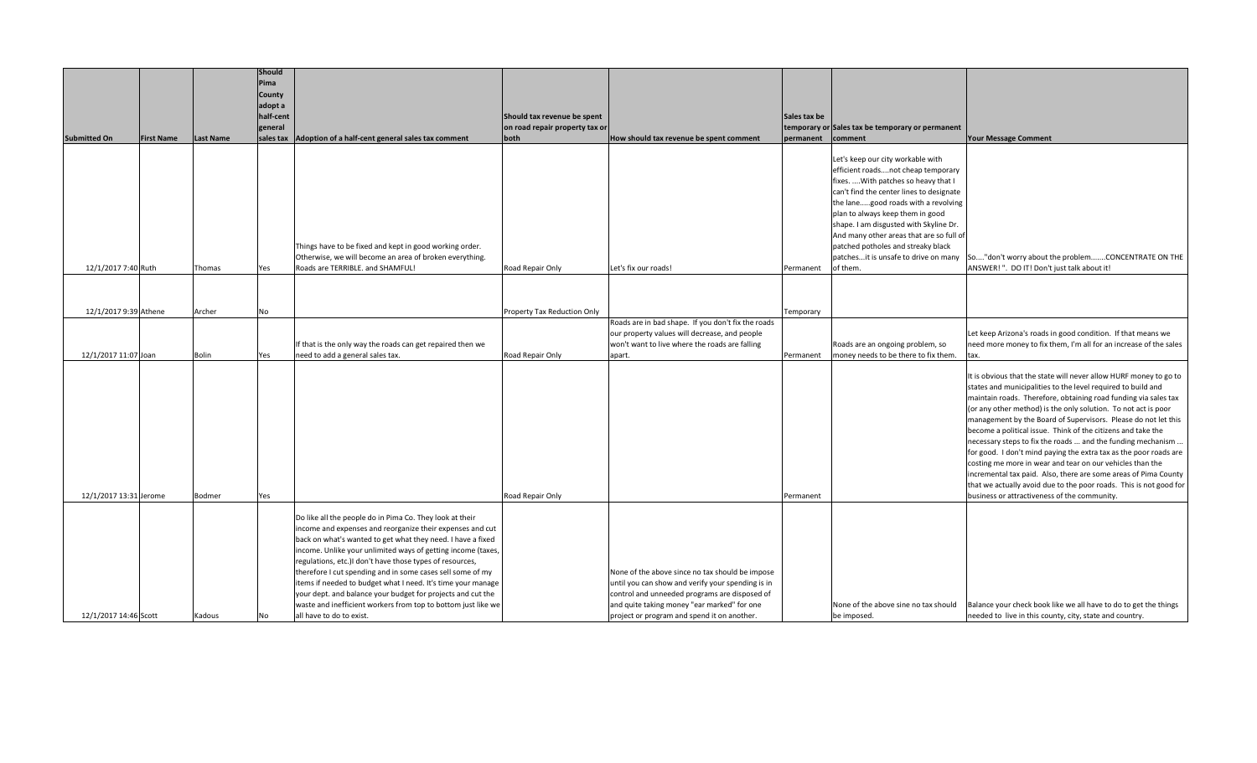| <b>Submitted On</b>                           | <b>First Name</b> | <b>Last Name</b> | Should<br>Pima<br><b>County</b><br>adopt a<br>half-cent<br>general<br>sales tax | Adoption of a half-cent general sales tax comment                                                                                                                                                                                                                                                                                                                                                                                                                                                                                                                                                          | Should tax revenue be spent<br>on road repair property tax or<br>both | How should tax revenue be spent comment                                                                                                                                                                                                             | Sales tax be<br>permanent | temporary or Sales tax be temporary or permanent<br>comment                                                                                                                                                                                                                                                                                                                    | <b>Your Message Comment</b>                                                                                                                                                                                                                                                                                                                                                                                                                                                                                                                                                                                                                                                                                                                                                                        |
|-----------------------------------------------|-------------------|------------------|---------------------------------------------------------------------------------|------------------------------------------------------------------------------------------------------------------------------------------------------------------------------------------------------------------------------------------------------------------------------------------------------------------------------------------------------------------------------------------------------------------------------------------------------------------------------------------------------------------------------------------------------------------------------------------------------------|-----------------------------------------------------------------------|-----------------------------------------------------------------------------------------------------------------------------------------------------------------------------------------------------------------------------------------------------|---------------------------|--------------------------------------------------------------------------------------------------------------------------------------------------------------------------------------------------------------------------------------------------------------------------------------------------------------------------------------------------------------------------------|----------------------------------------------------------------------------------------------------------------------------------------------------------------------------------------------------------------------------------------------------------------------------------------------------------------------------------------------------------------------------------------------------------------------------------------------------------------------------------------------------------------------------------------------------------------------------------------------------------------------------------------------------------------------------------------------------------------------------------------------------------------------------------------------------|
| 12/1/2017 7:40 Ruth                           |                   | Thomas           | Yes                                                                             | Things have to be fixed and kept in good working order.<br>Otherwise, we will become an area of broken everything.<br>Roads are TERRIBLE. and SHAMFUL!                                                                                                                                                                                                                                                                                                                                                                                                                                                     | Road Repair Only                                                      | Let's fix our roads!                                                                                                                                                                                                                                | Permanent                 | Let's keep our city workable with<br>efficient roadsnot cheap temporary<br>fixes.  With patches so heavy that I<br>can't find the center lines to designate<br>the lanegood roads with a revolving<br>plan to always keep them in good<br>shape. I am disgusted with Skyline Dr.<br>And many other areas that are so full of<br>patched potholes and streaky black<br>of them. | patchesit is unsafe to drive on many   So"don't worry about the problemCONCENTRATE ON THE<br>ANSWER!". DO IT! Don't just talk about it!                                                                                                                                                                                                                                                                                                                                                                                                                                                                                                                                                                                                                                                            |
|                                               |                   | Archer           |                                                                                 |                                                                                                                                                                                                                                                                                                                                                                                                                                                                                                                                                                                                            |                                                                       |                                                                                                                                                                                                                                                     |                           |                                                                                                                                                                                                                                                                                                                                                                                |                                                                                                                                                                                                                                                                                                                                                                                                                                                                                                                                                                                                                                                                                                                                                                                                    |
| 12/1/2017 9:39 Athene<br>12/1/2017 11:07 Joan |                   | Bolin            | No<br>Yes                                                                       | If that is the only way the roads can get repaired then we<br>need to add a general sales tax.                                                                                                                                                                                                                                                                                                                                                                                                                                                                                                             | Property Tax Reduction Only<br>Road Repair Only                       | Roads are in bad shape. If you don't fix the roads<br>our property values will decrease, and people<br>won't want to live where the roads are falling<br>apart.                                                                                     | Temporary<br>Permanent    | Roads are an ongoing problem, so<br>money needs to be there to fix them.                                                                                                                                                                                                                                                                                                       | Let keep Arizona's roads in good condition. If that means we<br>need more money to fix them, I'm all for an increase of the sales<br>tax.                                                                                                                                                                                                                                                                                                                                                                                                                                                                                                                                                                                                                                                          |
| 12/1/2017 13:31 Jerome                        |                   | Bodmer           | Yes                                                                             |                                                                                                                                                                                                                                                                                                                                                                                                                                                                                                                                                                                                            | Road Repair Only                                                      |                                                                                                                                                                                                                                                     | Permanent                 |                                                                                                                                                                                                                                                                                                                                                                                | It is obvious that the state will never allow HURF money to go to<br>states and municipalities to the level required to build and<br>maintain roads. Therefore, obtaining road funding via sales tax<br>(or any other method) is the only solution. To not act is poor<br>management by the Board of Supervisors. Please do not let this<br>become a political issue. Think of the citizens and take the<br>necessary steps to fix the roads  and the funding mechanism<br>for good. I don't mind paying the extra tax as the poor roads are<br>costing me more in wear and tear on our vehicles than the<br>incremental tax paid. Also, there are some areas of Pima County<br>that we actually avoid due to the poor roads. This is not good for<br>business or attractiveness of the community. |
| 12/1/2017 14:46 Scott                         |                   | Kadous           | No                                                                              | Do like all the people do in Pima Co. They look at their<br>income and expenses and reorganize their expenses and cut<br>back on what's wanted to get what they need. I have a fixed<br>income. Unlike your unlimited ways of getting income (taxes,<br>regulations, etc.)I don't have those types of resources,<br>therefore I cut spending and in some cases sell some of my<br>items if needed to budget what I need. It's time your manage<br>your dept. and balance your budget for projects and cut the<br>waste and inefficient workers from top to bottom just like we<br>all have to do to exist. |                                                                       | None of the above since no tax should be impose<br>until you can show and verify your spending is in<br>control and unneeded programs are disposed of<br>and quite taking money "ear marked" for one<br>project or program and spend it on another. |                           | None of the above sine no tax should<br>be imposed.                                                                                                                                                                                                                                                                                                                            | Balance your check book like we all have to do to get the things<br>needed to live in this county, city, state and country.                                                                                                                                                                                                                                                                                                                                                                                                                                                                                                                                                                                                                                                                        |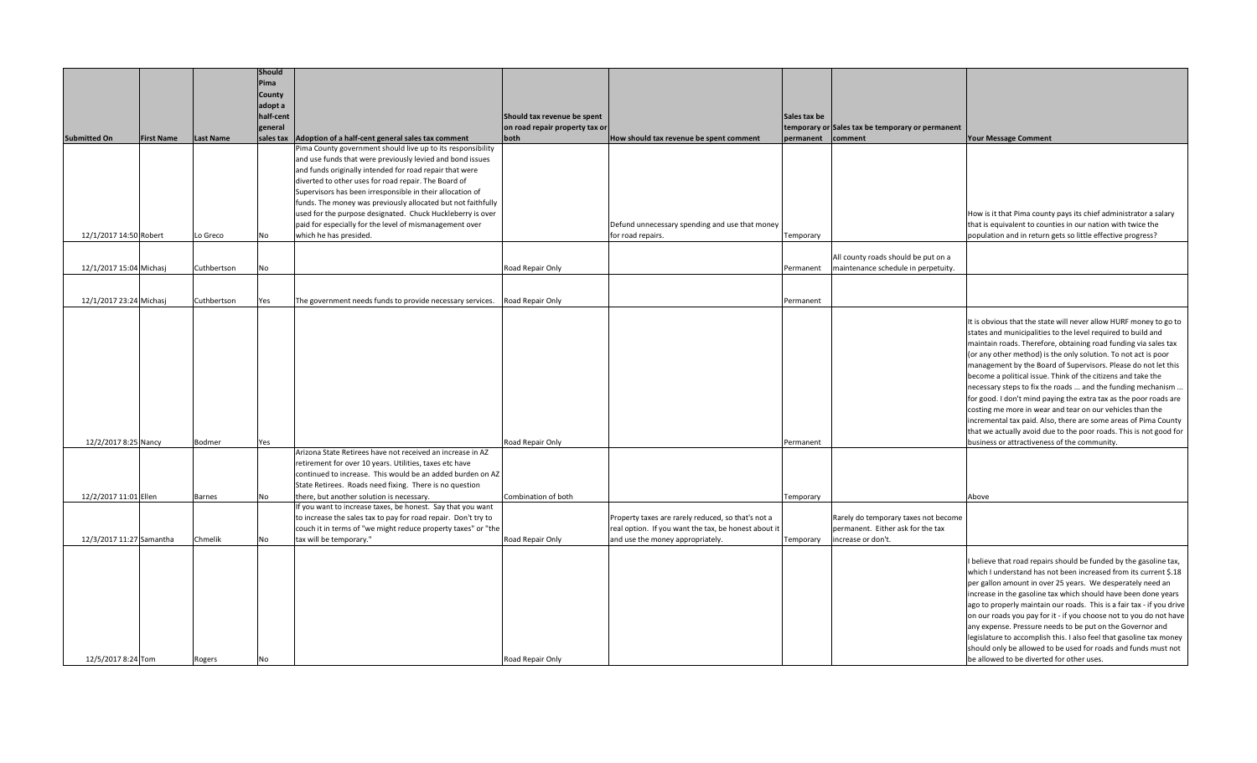|                          |                   |                  | <b>Should</b> |                                                                |                                |                                                      |              |                                                  |                                                                       |
|--------------------------|-------------------|------------------|---------------|----------------------------------------------------------------|--------------------------------|------------------------------------------------------|--------------|--------------------------------------------------|-----------------------------------------------------------------------|
|                          |                   |                  | Pima          |                                                                |                                |                                                      |              |                                                  |                                                                       |
|                          |                   |                  | <b>County</b> |                                                                |                                |                                                      |              |                                                  |                                                                       |
|                          |                   |                  | adopt a       |                                                                |                                |                                                      |              |                                                  |                                                                       |
|                          |                   |                  |               |                                                                |                                |                                                      |              |                                                  |                                                                       |
|                          |                   |                  | half-cent     |                                                                | Should tax revenue be spent    |                                                      | Sales tax be |                                                  |                                                                       |
|                          |                   |                  | general       |                                                                | on road repair property tax or |                                                      |              | temporary or Sales tax be temporary or permanent |                                                                       |
| <b>Submitted On</b>      | <b>First Name</b> | <b>Last Name</b> |               | sales tax Adoption of a half-cent general sales tax comment    | both                           | How should tax revenue be spent comment              | permanent    | comment                                          | <b>Your Message Comment</b>                                           |
|                          |                   |                  |               | Pima County government should live up to its responsibility    |                                |                                                      |              |                                                  |                                                                       |
|                          |                   |                  |               | and use funds that were previously levied and bond issues      |                                |                                                      |              |                                                  |                                                                       |
|                          |                   |                  |               | and funds originally intended for road repair that were        |                                |                                                      |              |                                                  |                                                                       |
|                          |                   |                  |               | diverted to other uses for road repair. The Board of           |                                |                                                      |              |                                                  |                                                                       |
|                          |                   |                  |               | Supervisors has been irresponsible in their allocation of      |                                |                                                      |              |                                                  |                                                                       |
|                          |                   |                  |               | funds. The money was previously allocated but not faithfully   |                                |                                                      |              |                                                  |                                                                       |
|                          |                   |                  |               | used for the purpose designated. Chuck Huckleberry is over     |                                |                                                      |              |                                                  | How is it that Pima county pays its chief administrator a salary      |
|                          |                   |                  |               | paid for especially for the level of mismanagement over        |                                | Defund unnecessary spending and use that money       |              |                                                  | that is equivalent to counties in our nation with twice the           |
| 12/1/2017 14:50 Robert   |                   | Lo Greco         | No            | which he has presided.                                         |                                | for road repairs.                                    | Temporary    |                                                  | population and in return gets so little effective progress?           |
|                          |                   |                  |               |                                                                |                                |                                                      |              |                                                  |                                                                       |
|                          |                   |                  |               |                                                                |                                |                                                      |              |                                                  |                                                                       |
|                          |                   |                  |               |                                                                |                                |                                                      |              | All county roads should be put on a              |                                                                       |
| 12/1/2017 15:04 Michasj  |                   | Cuthbertson      | No            |                                                                | Road Repair Only               |                                                      | Permanent    | maintenance schedule in perpetuity.              |                                                                       |
|                          |                   |                  |               |                                                                |                                |                                                      |              |                                                  |                                                                       |
|                          |                   |                  |               |                                                                |                                |                                                      |              |                                                  |                                                                       |
| 12/1/2017 23:24 Michasj  |                   | Cuthbertson      | Yes           | The government needs funds to provide necessary services.      | Road Repair Only               |                                                      | Permanent    |                                                  |                                                                       |
|                          |                   |                  |               |                                                                |                                |                                                      |              |                                                  |                                                                       |
|                          |                   |                  |               |                                                                |                                |                                                      |              |                                                  | It is obvious that the state will never allow HURF money to go to     |
|                          |                   |                  |               |                                                                |                                |                                                      |              |                                                  | states and municipalities to the level required to build and          |
|                          |                   |                  |               |                                                                |                                |                                                      |              |                                                  | maintain roads. Therefore, obtaining road funding via sales tax       |
|                          |                   |                  |               |                                                                |                                |                                                      |              |                                                  | (or any other method) is the only solution. To not act is poor        |
|                          |                   |                  |               |                                                                |                                |                                                      |              |                                                  | management by the Board of Supervisors. Please do not let this        |
|                          |                   |                  |               |                                                                |                                |                                                      |              |                                                  | become a political issue. Think of the citizens and take the          |
|                          |                   |                  |               |                                                                |                                |                                                      |              |                                                  | necessary steps to fix the roads  and the funding mechanism           |
|                          |                   |                  |               |                                                                |                                |                                                      |              |                                                  | for good. I don't mind paying the extra tax as the poor roads are     |
|                          |                   |                  |               |                                                                |                                |                                                      |              |                                                  | costing me more in wear and tear on our vehicles than the             |
|                          |                   |                  |               |                                                                |                                |                                                      |              |                                                  | incremental tax paid. Also, there are some areas of Pima County       |
|                          |                   |                  |               |                                                                |                                |                                                      |              |                                                  | that we actually avoid due to the poor roads. This is not good for    |
| 12/2/2017 8:25 Nancy     |                   | <b>Bodmer</b>    | Yes           |                                                                | Road Repair Only               |                                                      | Permanent    |                                                  | business or attractiveness of the community.                          |
|                          |                   |                  |               | Arizona State Retirees have not received an increase in AZ     |                                |                                                      |              |                                                  |                                                                       |
|                          |                   |                  |               | retirement for over 10 years. Utilities, taxes etc have        |                                |                                                      |              |                                                  |                                                                       |
|                          |                   |                  |               | continued to increase. This would be an added burden on AZ     |                                |                                                      |              |                                                  |                                                                       |
|                          |                   |                  |               | State Retirees. Roads need fixing. There is no question        |                                |                                                      |              |                                                  |                                                                       |
| 12/2/2017 11:01 Ellen    |                   | <b>Barnes</b>    | No            | there, but another solution is necessary.                      | Combination of both            |                                                      | Temporary    |                                                  | Above                                                                 |
|                          |                   |                  |               | If you want to increase taxes, be honest. Say that you want    |                                |                                                      |              |                                                  |                                                                       |
|                          |                   |                  |               | to increase the sales tax to pay for road repair. Don't try to |                                | Property taxes are rarely reduced, so that's not a   |              | Rarely do temporary taxes not become             |                                                                       |
|                          |                   |                  |               | couch it in terms of "we might reduce property taxes" or "the  |                                | real option. If you want the tax, be honest about it |              | permanent. Either ask for the tax                |                                                                       |
| 12/3/2017 11:27 Samantha |                   | Chmelik          | No            | tax will be temporary."                                        | Road Repair Only               | and use the money appropriately.                     | Temporary    | increase or don't.                               |                                                                       |
|                          |                   |                  |               |                                                                |                                |                                                      |              |                                                  |                                                                       |
|                          |                   |                  |               |                                                                |                                |                                                      |              |                                                  | I believe that road repairs should be funded by the gasoline tax,     |
|                          |                   |                  |               |                                                                |                                |                                                      |              |                                                  | which I understand has not been increased from its current \$.18      |
|                          |                   |                  |               |                                                                |                                |                                                      |              |                                                  | per gallon amount in over 25 years. We desperately need an            |
|                          |                   |                  |               |                                                                |                                |                                                      |              |                                                  | increase in the gasoline tax which should have been done years        |
|                          |                   |                  |               |                                                                |                                |                                                      |              |                                                  | ago to properly maintain our roads. This is a fair tax - if you drive |
|                          |                   |                  |               |                                                                |                                |                                                      |              |                                                  | on our roads you pay for it - if you choose not to you do not have    |
|                          |                   |                  |               |                                                                |                                |                                                      |              |                                                  | any expense. Pressure needs to be put on the Governor and             |
|                          |                   |                  |               |                                                                |                                |                                                      |              |                                                  | legislature to accomplish this. I also feel that gasoline tax money   |
|                          |                   |                  |               |                                                                |                                |                                                      |              |                                                  |                                                                       |
|                          |                   |                  |               |                                                                |                                |                                                      |              |                                                  | should only be allowed to be used for roads and funds must not        |
| 12/5/2017 8:24 Tom       |                   | Rogers           | No            |                                                                | Road Repair Only               |                                                      |              |                                                  | be allowed to be diverted for other uses.                             |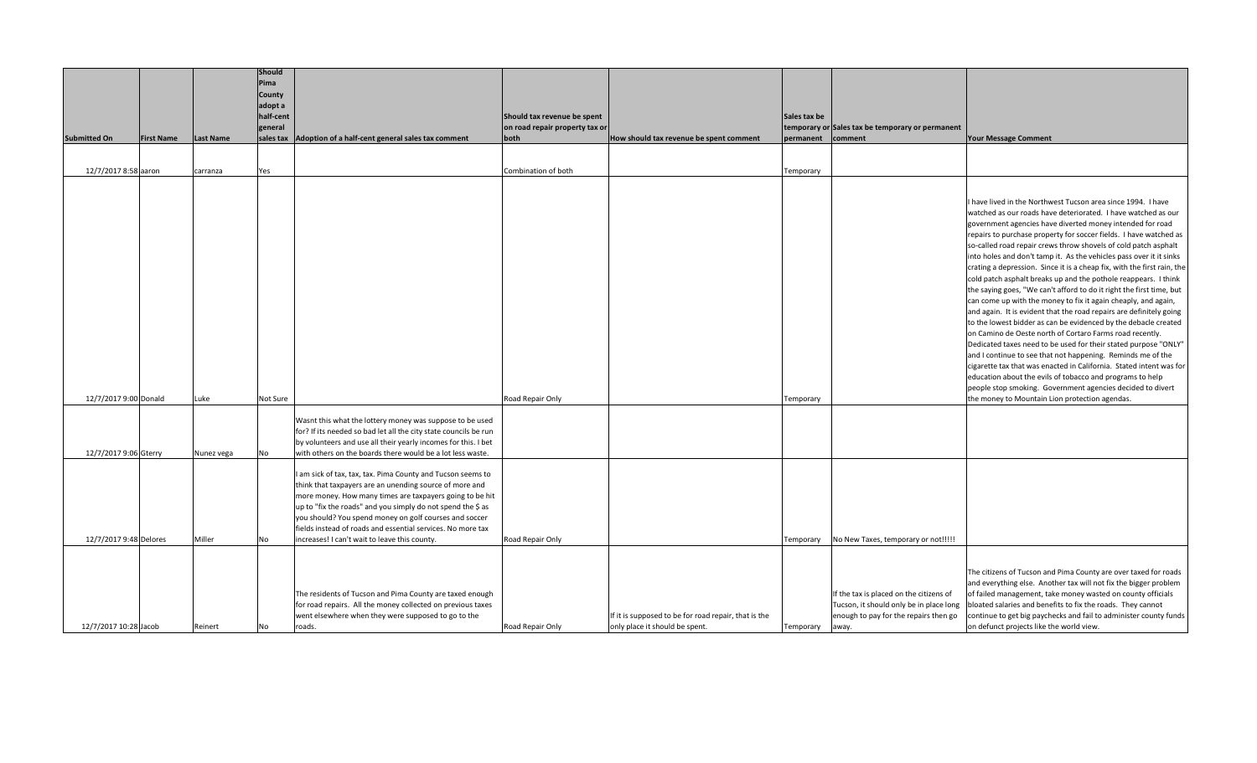| Pima<br><b>County</b><br>adopt a<br>half-cent<br>Should tax revenue be spent<br>Sales tax be<br>on road repair property tax or<br>temporary or Sales tax be temporary or permanent<br>general<br><b>Submitted On</b><br><b>Last Name</b><br>sales tax   Adoption of a half-cent general sales tax comment<br>both<br>comment<br><b>Your Message Comment</b><br><b>First Name</b><br>How should tax revenue be spent comment<br>permanent<br>12/7/2017 8:58 aaron<br>Combination of both<br>carranza<br>Yes<br>Temporary<br>I have lived in the Northwest Tucson area since 1994. I have<br>watched as our roads have deteriorated. I have watched as our<br>government agencies have diverted money intended for road<br>repairs to purchase property for soccer fields. I have watched as<br>so-called road repair crews throw shovels of cold patch asphalt<br>into holes and don't tamp it. As the vehicles pass over it it sinks<br>cold patch asphalt breaks up and the pothole reappears. I think<br>the saying goes, "We can't afford to do it right the first time, but<br>can come up with the money to fix it again cheaply, and again,<br>and again. It is evident that the road repairs are definitely going<br>to the lowest bidder as can be evidenced by the debacle created<br>on Camino de Oeste north of Cortaro Farms road recently.<br>Dedicated taxes need to be used for their stated purpose "ONLY"<br>and I continue to see that not happening. Reminds me of the<br>cigarette tax that was enacted in California. Stated intent was for<br>education about the evils of tobacco and programs to help<br>people stop smoking. Government agencies decided to divert<br>12/7/2017 9:00 Donald<br>Road Repair Only<br>Luke<br>Not Sure<br>the money to Mountain Lion protection agendas.<br>Temporary<br>Wasnt this what the lottery money was suppose to be used<br>for? If its needed so bad let all the city state councils be run<br>by volunteers and use all their yearly incomes for this. I bet<br>12/7/2017 9:06 Gterry<br>with others on the boards there would be a lot less waste.<br>Nunez vega<br>No<br>I am sick of tax, tax, tax. Pima County and Tucson seems to<br>think that taxpayers are an unending source of more and<br>more money. How many times are taxpayers going to be hit<br>up to "fix the roads" and you simply do not spend the \$ as<br>you should? You spend money on golf courses and soccer<br>fields instead of roads and essential services. No more tax<br>Miller<br>12/7/2017 9:48 Delores<br>increases! I can't wait to leave this county.<br>Road Repair Only<br>No New Taxes, temporary or not!!!!!<br>No<br>Temporary<br>The citizens of Tucson and Pima County are over taxed for roads<br>and everything else. Another tax will not fix the bigger problem<br>The residents of Tucson and Pima County are taxed enough<br>If the tax is placed on the citizens of<br>of failed management, take money wasted on county officials<br>for road repairs. All the money collected on previous taxes<br>Tucson, it should only be in place long<br>bloated salaries and benefits to fix the roads. They cannot<br>continue to get big paychecks and fail to administer county funds<br>went elsewhere when they were supposed to go to the<br>If it is supposed to be for road repair, that is the<br>enough to pay for the repairs then go<br>12/7/2017 10:28 Jacob<br>only place it should be spent.<br>on defunct projects like the world view.<br>Reinert<br>roads.<br>Road Repair Only<br>No<br>Temporary<br>away. |  |  | Should |  |  |                                                                         |
|------------------------------------------------------------------------------------------------------------------------------------------------------------------------------------------------------------------------------------------------------------------------------------------------------------------------------------------------------------------------------------------------------------------------------------------------------------------------------------------------------------------------------------------------------------------------------------------------------------------------------------------------------------------------------------------------------------------------------------------------------------------------------------------------------------------------------------------------------------------------------------------------------------------------------------------------------------------------------------------------------------------------------------------------------------------------------------------------------------------------------------------------------------------------------------------------------------------------------------------------------------------------------------------------------------------------------------------------------------------------------------------------------------------------------------------------------------------------------------------------------------------------------------------------------------------------------------------------------------------------------------------------------------------------------------------------------------------------------------------------------------------------------------------------------------------------------------------------------------------------------------------------------------------------------------------------------------------------------------------------------------------------------------------------------------------------------------------------------------------------------------------------------------------------------------------------------------------------------------------------------------------------------------------------------------------------------------------------------------------------------------------------------------------------------------------------------------------------------------------------------------------------------------------------------------------------------------------------------------------------------------------------------------------------------------------------------------------------------------------------------------------------------------------------------------------------------------------------------------------------------------------------------------------------------------------------------------------------------------------------------------------------------------------------------------------------------------------------------------------------------------------------------------------------------------------------------------------------------------------------------------------------------------------------------------------------------------------------------------------------------------------------------------------------------------------------------------------------------------------------------------------------------------------------------------------------------------------|--|--|--------|--|--|-------------------------------------------------------------------------|
|                                                                                                                                                                                                                                                                                                                                                                                                                                                                                                                                                                                                                                                                                                                                                                                                                                                                                                                                                                                                                                                                                                                                                                                                                                                                                                                                                                                                                                                                                                                                                                                                                                                                                                                                                                                                                                                                                                                                                                                                                                                                                                                                                                                                                                                                                                                                                                                                                                                                                                                                                                                                                                                                                                                                                                                                                                                                                                                                                                                                                                                                                                                                                                                                                                                                                                                                                                                                                                                                                                                                                                                          |  |  |        |  |  |                                                                         |
|                                                                                                                                                                                                                                                                                                                                                                                                                                                                                                                                                                                                                                                                                                                                                                                                                                                                                                                                                                                                                                                                                                                                                                                                                                                                                                                                                                                                                                                                                                                                                                                                                                                                                                                                                                                                                                                                                                                                                                                                                                                                                                                                                                                                                                                                                                                                                                                                                                                                                                                                                                                                                                                                                                                                                                                                                                                                                                                                                                                                                                                                                                                                                                                                                                                                                                                                                                                                                                                                                                                                                                                          |  |  |        |  |  |                                                                         |
|                                                                                                                                                                                                                                                                                                                                                                                                                                                                                                                                                                                                                                                                                                                                                                                                                                                                                                                                                                                                                                                                                                                                                                                                                                                                                                                                                                                                                                                                                                                                                                                                                                                                                                                                                                                                                                                                                                                                                                                                                                                                                                                                                                                                                                                                                                                                                                                                                                                                                                                                                                                                                                                                                                                                                                                                                                                                                                                                                                                                                                                                                                                                                                                                                                                                                                                                                                                                                                                                                                                                                                                          |  |  |        |  |  |                                                                         |
|                                                                                                                                                                                                                                                                                                                                                                                                                                                                                                                                                                                                                                                                                                                                                                                                                                                                                                                                                                                                                                                                                                                                                                                                                                                                                                                                                                                                                                                                                                                                                                                                                                                                                                                                                                                                                                                                                                                                                                                                                                                                                                                                                                                                                                                                                                                                                                                                                                                                                                                                                                                                                                                                                                                                                                                                                                                                                                                                                                                                                                                                                                                                                                                                                                                                                                                                                                                                                                                                                                                                                                                          |  |  |        |  |  |                                                                         |
|                                                                                                                                                                                                                                                                                                                                                                                                                                                                                                                                                                                                                                                                                                                                                                                                                                                                                                                                                                                                                                                                                                                                                                                                                                                                                                                                                                                                                                                                                                                                                                                                                                                                                                                                                                                                                                                                                                                                                                                                                                                                                                                                                                                                                                                                                                                                                                                                                                                                                                                                                                                                                                                                                                                                                                                                                                                                                                                                                                                                                                                                                                                                                                                                                                                                                                                                                                                                                                                                                                                                                                                          |  |  |        |  |  |                                                                         |
|                                                                                                                                                                                                                                                                                                                                                                                                                                                                                                                                                                                                                                                                                                                                                                                                                                                                                                                                                                                                                                                                                                                                                                                                                                                                                                                                                                                                                                                                                                                                                                                                                                                                                                                                                                                                                                                                                                                                                                                                                                                                                                                                                                                                                                                                                                                                                                                                                                                                                                                                                                                                                                                                                                                                                                                                                                                                                                                                                                                                                                                                                                                                                                                                                                                                                                                                                                                                                                                                                                                                                                                          |  |  |        |  |  |                                                                         |
|                                                                                                                                                                                                                                                                                                                                                                                                                                                                                                                                                                                                                                                                                                                                                                                                                                                                                                                                                                                                                                                                                                                                                                                                                                                                                                                                                                                                                                                                                                                                                                                                                                                                                                                                                                                                                                                                                                                                                                                                                                                                                                                                                                                                                                                                                                                                                                                                                                                                                                                                                                                                                                                                                                                                                                                                                                                                                                                                                                                                                                                                                                                                                                                                                                                                                                                                                                                                                                                                                                                                                                                          |  |  |        |  |  |                                                                         |
|                                                                                                                                                                                                                                                                                                                                                                                                                                                                                                                                                                                                                                                                                                                                                                                                                                                                                                                                                                                                                                                                                                                                                                                                                                                                                                                                                                                                                                                                                                                                                                                                                                                                                                                                                                                                                                                                                                                                                                                                                                                                                                                                                                                                                                                                                                                                                                                                                                                                                                                                                                                                                                                                                                                                                                                                                                                                                                                                                                                                                                                                                                                                                                                                                                                                                                                                                                                                                                                                                                                                                                                          |  |  |        |  |  |                                                                         |
|                                                                                                                                                                                                                                                                                                                                                                                                                                                                                                                                                                                                                                                                                                                                                                                                                                                                                                                                                                                                                                                                                                                                                                                                                                                                                                                                                                                                                                                                                                                                                                                                                                                                                                                                                                                                                                                                                                                                                                                                                                                                                                                                                                                                                                                                                                                                                                                                                                                                                                                                                                                                                                                                                                                                                                                                                                                                                                                                                                                                                                                                                                                                                                                                                                                                                                                                                                                                                                                                                                                                                                                          |  |  |        |  |  |                                                                         |
|                                                                                                                                                                                                                                                                                                                                                                                                                                                                                                                                                                                                                                                                                                                                                                                                                                                                                                                                                                                                                                                                                                                                                                                                                                                                                                                                                                                                                                                                                                                                                                                                                                                                                                                                                                                                                                                                                                                                                                                                                                                                                                                                                                                                                                                                                                                                                                                                                                                                                                                                                                                                                                                                                                                                                                                                                                                                                                                                                                                                                                                                                                                                                                                                                                                                                                                                                                                                                                                                                                                                                                                          |  |  |        |  |  |                                                                         |
|                                                                                                                                                                                                                                                                                                                                                                                                                                                                                                                                                                                                                                                                                                                                                                                                                                                                                                                                                                                                                                                                                                                                                                                                                                                                                                                                                                                                                                                                                                                                                                                                                                                                                                                                                                                                                                                                                                                                                                                                                                                                                                                                                                                                                                                                                                                                                                                                                                                                                                                                                                                                                                                                                                                                                                                                                                                                                                                                                                                                                                                                                                                                                                                                                                                                                                                                                                                                                                                                                                                                                                                          |  |  |        |  |  |                                                                         |
|                                                                                                                                                                                                                                                                                                                                                                                                                                                                                                                                                                                                                                                                                                                                                                                                                                                                                                                                                                                                                                                                                                                                                                                                                                                                                                                                                                                                                                                                                                                                                                                                                                                                                                                                                                                                                                                                                                                                                                                                                                                                                                                                                                                                                                                                                                                                                                                                                                                                                                                                                                                                                                                                                                                                                                                                                                                                                                                                                                                                                                                                                                                                                                                                                                                                                                                                                                                                                                                                                                                                                                                          |  |  |        |  |  |                                                                         |
|                                                                                                                                                                                                                                                                                                                                                                                                                                                                                                                                                                                                                                                                                                                                                                                                                                                                                                                                                                                                                                                                                                                                                                                                                                                                                                                                                                                                                                                                                                                                                                                                                                                                                                                                                                                                                                                                                                                                                                                                                                                                                                                                                                                                                                                                                                                                                                                                                                                                                                                                                                                                                                                                                                                                                                                                                                                                                                                                                                                                                                                                                                                                                                                                                                                                                                                                                                                                                                                                                                                                                                                          |  |  |        |  |  |                                                                         |
|                                                                                                                                                                                                                                                                                                                                                                                                                                                                                                                                                                                                                                                                                                                                                                                                                                                                                                                                                                                                                                                                                                                                                                                                                                                                                                                                                                                                                                                                                                                                                                                                                                                                                                                                                                                                                                                                                                                                                                                                                                                                                                                                                                                                                                                                                                                                                                                                                                                                                                                                                                                                                                                                                                                                                                                                                                                                                                                                                                                                                                                                                                                                                                                                                                                                                                                                                                                                                                                                                                                                                                                          |  |  |        |  |  |                                                                         |
|                                                                                                                                                                                                                                                                                                                                                                                                                                                                                                                                                                                                                                                                                                                                                                                                                                                                                                                                                                                                                                                                                                                                                                                                                                                                                                                                                                                                                                                                                                                                                                                                                                                                                                                                                                                                                                                                                                                                                                                                                                                                                                                                                                                                                                                                                                                                                                                                                                                                                                                                                                                                                                                                                                                                                                                                                                                                                                                                                                                                                                                                                                                                                                                                                                                                                                                                                                                                                                                                                                                                                                                          |  |  |        |  |  |                                                                         |
|                                                                                                                                                                                                                                                                                                                                                                                                                                                                                                                                                                                                                                                                                                                                                                                                                                                                                                                                                                                                                                                                                                                                                                                                                                                                                                                                                                                                                                                                                                                                                                                                                                                                                                                                                                                                                                                                                                                                                                                                                                                                                                                                                                                                                                                                                                                                                                                                                                                                                                                                                                                                                                                                                                                                                                                                                                                                                                                                                                                                                                                                                                                                                                                                                                                                                                                                                                                                                                                                                                                                                                                          |  |  |        |  |  |                                                                         |
|                                                                                                                                                                                                                                                                                                                                                                                                                                                                                                                                                                                                                                                                                                                                                                                                                                                                                                                                                                                                                                                                                                                                                                                                                                                                                                                                                                                                                                                                                                                                                                                                                                                                                                                                                                                                                                                                                                                                                                                                                                                                                                                                                                                                                                                                                                                                                                                                                                                                                                                                                                                                                                                                                                                                                                                                                                                                                                                                                                                                                                                                                                                                                                                                                                                                                                                                                                                                                                                                                                                                                                                          |  |  |        |  |  |                                                                         |
|                                                                                                                                                                                                                                                                                                                                                                                                                                                                                                                                                                                                                                                                                                                                                                                                                                                                                                                                                                                                                                                                                                                                                                                                                                                                                                                                                                                                                                                                                                                                                                                                                                                                                                                                                                                                                                                                                                                                                                                                                                                                                                                                                                                                                                                                                                                                                                                                                                                                                                                                                                                                                                                                                                                                                                                                                                                                                                                                                                                                                                                                                                                                                                                                                                                                                                                                                                                                                                                                                                                                                                                          |  |  |        |  |  |                                                                         |
|                                                                                                                                                                                                                                                                                                                                                                                                                                                                                                                                                                                                                                                                                                                                                                                                                                                                                                                                                                                                                                                                                                                                                                                                                                                                                                                                                                                                                                                                                                                                                                                                                                                                                                                                                                                                                                                                                                                                                                                                                                                                                                                                                                                                                                                                                                                                                                                                                                                                                                                                                                                                                                                                                                                                                                                                                                                                                                                                                                                                                                                                                                                                                                                                                                                                                                                                                                                                                                                                                                                                                                                          |  |  |        |  |  | crating a depression. Since it is a cheap fix, with the first rain, the |
|                                                                                                                                                                                                                                                                                                                                                                                                                                                                                                                                                                                                                                                                                                                                                                                                                                                                                                                                                                                                                                                                                                                                                                                                                                                                                                                                                                                                                                                                                                                                                                                                                                                                                                                                                                                                                                                                                                                                                                                                                                                                                                                                                                                                                                                                                                                                                                                                                                                                                                                                                                                                                                                                                                                                                                                                                                                                                                                                                                                                                                                                                                                                                                                                                                                                                                                                                                                                                                                                                                                                                                                          |  |  |        |  |  |                                                                         |
|                                                                                                                                                                                                                                                                                                                                                                                                                                                                                                                                                                                                                                                                                                                                                                                                                                                                                                                                                                                                                                                                                                                                                                                                                                                                                                                                                                                                                                                                                                                                                                                                                                                                                                                                                                                                                                                                                                                                                                                                                                                                                                                                                                                                                                                                                                                                                                                                                                                                                                                                                                                                                                                                                                                                                                                                                                                                                                                                                                                                                                                                                                                                                                                                                                                                                                                                                                                                                                                                                                                                                                                          |  |  |        |  |  |                                                                         |
|                                                                                                                                                                                                                                                                                                                                                                                                                                                                                                                                                                                                                                                                                                                                                                                                                                                                                                                                                                                                                                                                                                                                                                                                                                                                                                                                                                                                                                                                                                                                                                                                                                                                                                                                                                                                                                                                                                                                                                                                                                                                                                                                                                                                                                                                                                                                                                                                                                                                                                                                                                                                                                                                                                                                                                                                                                                                                                                                                                                                                                                                                                                                                                                                                                                                                                                                                                                                                                                                                                                                                                                          |  |  |        |  |  |                                                                         |
|                                                                                                                                                                                                                                                                                                                                                                                                                                                                                                                                                                                                                                                                                                                                                                                                                                                                                                                                                                                                                                                                                                                                                                                                                                                                                                                                                                                                                                                                                                                                                                                                                                                                                                                                                                                                                                                                                                                                                                                                                                                                                                                                                                                                                                                                                                                                                                                                                                                                                                                                                                                                                                                                                                                                                                                                                                                                                                                                                                                                                                                                                                                                                                                                                                                                                                                                                                                                                                                                                                                                                                                          |  |  |        |  |  |                                                                         |
|                                                                                                                                                                                                                                                                                                                                                                                                                                                                                                                                                                                                                                                                                                                                                                                                                                                                                                                                                                                                                                                                                                                                                                                                                                                                                                                                                                                                                                                                                                                                                                                                                                                                                                                                                                                                                                                                                                                                                                                                                                                                                                                                                                                                                                                                                                                                                                                                                                                                                                                                                                                                                                                                                                                                                                                                                                                                                                                                                                                                                                                                                                                                                                                                                                                                                                                                                                                                                                                                                                                                                                                          |  |  |        |  |  |                                                                         |
|                                                                                                                                                                                                                                                                                                                                                                                                                                                                                                                                                                                                                                                                                                                                                                                                                                                                                                                                                                                                                                                                                                                                                                                                                                                                                                                                                                                                                                                                                                                                                                                                                                                                                                                                                                                                                                                                                                                                                                                                                                                                                                                                                                                                                                                                                                                                                                                                                                                                                                                                                                                                                                                                                                                                                                                                                                                                                                                                                                                                                                                                                                                                                                                                                                                                                                                                                                                                                                                                                                                                                                                          |  |  |        |  |  |                                                                         |
|                                                                                                                                                                                                                                                                                                                                                                                                                                                                                                                                                                                                                                                                                                                                                                                                                                                                                                                                                                                                                                                                                                                                                                                                                                                                                                                                                                                                                                                                                                                                                                                                                                                                                                                                                                                                                                                                                                                                                                                                                                                                                                                                                                                                                                                                                                                                                                                                                                                                                                                                                                                                                                                                                                                                                                                                                                                                                                                                                                                                                                                                                                                                                                                                                                                                                                                                                                                                                                                                                                                                                                                          |  |  |        |  |  |                                                                         |
|                                                                                                                                                                                                                                                                                                                                                                                                                                                                                                                                                                                                                                                                                                                                                                                                                                                                                                                                                                                                                                                                                                                                                                                                                                                                                                                                                                                                                                                                                                                                                                                                                                                                                                                                                                                                                                                                                                                                                                                                                                                                                                                                                                                                                                                                                                                                                                                                                                                                                                                                                                                                                                                                                                                                                                                                                                                                                                                                                                                                                                                                                                                                                                                                                                                                                                                                                                                                                                                                                                                                                                                          |  |  |        |  |  |                                                                         |
|                                                                                                                                                                                                                                                                                                                                                                                                                                                                                                                                                                                                                                                                                                                                                                                                                                                                                                                                                                                                                                                                                                                                                                                                                                                                                                                                                                                                                                                                                                                                                                                                                                                                                                                                                                                                                                                                                                                                                                                                                                                                                                                                                                                                                                                                                                                                                                                                                                                                                                                                                                                                                                                                                                                                                                                                                                                                                                                                                                                                                                                                                                                                                                                                                                                                                                                                                                                                                                                                                                                                                                                          |  |  |        |  |  |                                                                         |
|                                                                                                                                                                                                                                                                                                                                                                                                                                                                                                                                                                                                                                                                                                                                                                                                                                                                                                                                                                                                                                                                                                                                                                                                                                                                                                                                                                                                                                                                                                                                                                                                                                                                                                                                                                                                                                                                                                                                                                                                                                                                                                                                                                                                                                                                                                                                                                                                                                                                                                                                                                                                                                                                                                                                                                                                                                                                                                                                                                                                                                                                                                                                                                                                                                                                                                                                                                                                                                                                                                                                                                                          |  |  |        |  |  |                                                                         |
|                                                                                                                                                                                                                                                                                                                                                                                                                                                                                                                                                                                                                                                                                                                                                                                                                                                                                                                                                                                                                                                                                                                                                                                                                                                                                                                                                                                                                                                                                                                                                                                                                                                                                                                                                                                                                                                                                                                                                                                                                                                                                                                                                                                                                                                                                                                                                                                                                                                                                                                                                                                                                                                                                                                                                                                                                                                                                                                                                                                                                                                                                                                                                                                                                                                                                                                                                                                                                                                                                                                                                                                          |  |  |        |  |  |                                                                         |
|                                                                                                                                                                                                                                                                                                                                                                                                                                                                                                                                                                                                                                                                                                                                                                                                                                                                                                                                                                                                                                                                                                                                                                                                                                                                                                                                                                                                                                                                                                                                                                                                                                                                                                                                                                                                                                                                                                                                                                                                                                                                                                                                                                                                                                                                                                                                                                                                                                                                                                                                                                                                                                                                                                                                                                                                                                                                                                                                                                                                                                                                                                                                                                                                                                                                                                                                                                                                                                                                                                                                                                                          |  |  |        |  |  |                                                                         |
|                                                                                                                                                                                                                                                                                                                                                                                                                                                                                                                                                                                                                                                                                                                                                                                                                                                                                                                                                                                                                                                                                                                                                                                                                                                                                                                                                                                                                                                                                                                                                                                                                                                                                                                                                                                                                                                                                                                                                                                                                                                                                                                                                                                                                                                                                                                                                                                                                                                                                                                                                                                                                                                                                                                                                                                                                                                                                                                                                                                                                                                                                                                                                                                                                                                                                                                                                                                                                                                                                                                                                                                          |  |  |        |  |  |                                                                         |
|                                                                                                                                                                                                                                                                                                                                                                                                                                                                                                                                                                                                                                                                                                                                                                                                                                                                                                                                                                                                                                                                                                                                                                                                                                                                                                                                                                                                                                                                                                                                                                                                                                                                                                                                                                                                                                                                                                                                                                                                                                                                                                                                                                                                                                                                                                                                                                                                                                                                                                                                                                                                                                                                                                                                                                                                                                                                                                                                                                                                                                                                                                                                                                                                                                                                                                                                                                                                                                                                                                                                                                                          |  |  |        |  |  |                                                                         |
|                                                                                                                                                                                                                                                                                                                                                                                                                                                                                                                                                                                                                                                                                                                                                                                                                                                                                                                                                                                                                                                                                                                                                                                                                                                                                                                                                                                                                                                                                                                                                                                                                                                                                                                                                                                                                                                                                                                                                                                                                                                                                                                                                                                                                                                                                                                                                                                                                                                                                                                                                                                                                                                                                                                                                                                                                                                                                                                                                                                                                                                                                                                                                                                                                                                                                                                                                                                                                                                                                                                                                                                          |  |  |        |  |  |                                                                         |
|                                                                                                                                                                                                                                                                                                                                                                                                                                                                                                                                                                                                                                                                                                                                                                                                                                                                                                                                                                                                                                                                                                                                                                                                                                                                                                                                                                                                                                                                                                                                                                                                                                                                                                                                                                                                                                                                                                                                                                                                                                                                                                                                                                                                                                                                                                                                                                                                                                                                                                                                                                                                                                                                                                                                                                                                                                                                                                                                                                                                                                                                                                                                                                                                                                                                                                                                                                                                                                                                                                                                                                                          |  |  |        |  |  |                                                                         |
|                                                                                                                                                                                                                                                                                                                                                                                                                                                                                                                                                                                                                                                                                                                                                                                                                                                                                                                                                                                                                                                                                                                                                                                                                                                                                                                                                                                                                                                                                                                                                                                                                                                                                                                                                                                                                                                                                                                                                                                                                                                                                                                                                                                                                                                                                                                                                                                                                                                                                                                                                                                                                                                                                                                                                                                                                                                                                                                                                                                                                                                                                                                                                                                                                                                                                                                                                                                                                                                                                                                                                                                          |  |  |        |  |  |                                                                         |
|                                                                                                                                                                                                                                                                                                                                                                                                                                                                                                                                                                                                                                                                                                                                                                                                                                                                                                                                                                                                                                                                                                                                                                                                                                                                                                                                                                                                                                                                                                                                                                                                                                                                                                                                                                                                                                                                                                                                                                                                                                                                                                                                                                                                                                                                                                                                                                                                                                                                                                                                                                                                                                                                                                                                                                                                                                                                                                                                                                                                                                                                                                                                                                                                                                                                                                                                                                                                                                                                                                                                                                                          |  |  |        |  |  |                                                                         |
|                                                                                                                                                                                                                                                                                                                                                                                                                                                                                                                                                                                                                                                                                                                                                                                                                                                                                                                                                                                                                                                                                                                                                                                                                                                                                                                                                                                                                                                                                                                                                                                                                                                                                                                                                                                                                                                                                                                                                                                                                                                                                                                                                                                                                                                                                                                                                                                                                                                                                                                                                                                                                                                                                                                                                                                                                                                                                                                                                                                                                                                                                                                                                                                                                                                                                                                                                                                                                                                                                                                                                                                          |  |  |        |  |  |                                                                         |
|                                                                                                                                                                                                                                                                                                                                                                                                                                                                                                                                                                                                                                                                                                                                                                                                                                                                                                                                                                                                                                                                                                                                                                                                                                                                                                                                                                                                                                                                                                                                                                                                                                                                                                                                                                                                                                                                                                                                                                                                                                                                                                                                                                                                                                                                                                                                                                                                                                                                                                                                                                                                                                                                                                                                                                                                                                                                                                                                                                                                                                                                                                                                                                                                                                                                                                                                                                                                                                                                                                                                                                                          |  |  |        |  |  |                                                                         |
|                                                                                                                                                                                                                                                                                                                                                                                                                                                                                                                                                                                                                                                                                                                                                                                                                                                                                                                                                                                                                                                                                                                                                                                                                                                                                                                                                                                                                                                                                                                                                                                                                                                                                                                                                                                                                                                                                                                                                                                                                                                                                                                                                                                                                                                                                                                                                                                                                                                                                                                                                                                                                                                                                                                                                                                                                                                                                                                                                                                                                                                                                                                                                                                                                                                                                                                                                                                                                                                                                                                                                                                          |  |  |        |  |  |                                                                         |
|                                                                                                                                                                                                                                                                                                                                                                                                                                                                                                                                                                                                                                                                                                                                                                                                                                                                                                                                                                                                                                                                                                                                                                                                                                                                                                                                                                                                                                                                                                                                                                                                                                                                                                                                                                                                                                                                                                                                                                                                                                                                                                                                                                                                                                                                                                                                                                                                                                                                                                                                                                                                                                                                                                                                                                                                                                                                                                                                                                                                                                                                                                                                                                                                                                                                                                                                                                                                                                                                                                                                                                                          |  |  |        |  |  |                                                                         |
|                                                                                                                                                                                                                                                                                                                                                                                                                                                                                                                                                                                                                                                                                                                                                                                                                                                                                                                                                                                                                                                                                                                                                                                                                                                                                                                                                                                                                                                                                                                                                                                                                                                                                                                                                                                                                                                                                                                                                                                                                                                                                                                                                                                                                                                                                                                                                                                                                                                                                                                                                                                                                                                                                                                                                                                                                                                                                                                                                                                                                                                                                                                                                                                                                                                                                                                                                                                                                                                                                                                                                                                          |  |  |        |  |  |                                                                         |
|                                                                                                                                                                                                                                                                                                                                                                                                                                                                                                                                                                                                                                                                                                                                                                                                                                                                                                                                                                                                                                                                                                                                                                                                                                                                                                                                                                                                                                                                                                                                                                                                                                                                                                                                                                                                                                                                                                                                                                                                                                                                                                                                                                                                                                                                                                                                                                                                                                                                                                                                                                                                                                                                                                                                                                                                                                                                                                                                                                                                                                                                                                                                                                                                                                                                                                                                                                                                                                                                                                                                                                                          |  |  |        |  |  |                                                                         |
|                                                                                                                                                                                                                                                                                                                                                                                                                                                                                                                                                                                                                                                                                                                                                                                                                                                                                                                                                                                                                                                                                                                                                                                                                                                                                                                                                                                                                                                                                                                                                                                                                                                                                                                                                                                                                                                                                                                                                                                                                                                                                                                                                                                                                                                                                                                                                                                                                                                                                                                                                                                                                                                                                                                                                                                                                                                                                                                                                                                                                                                                                                                                                                                                                                                                                                                                                                                                                                                                                                                                                                                          |  |  |        |  |  |                                                                         |
|                                                                                                                                                                                                                                                                                                                                                                                                                                                                                                                                                                                                                                                                                                                                                                                                                                                                                                                                                                                                                                                                                                                                                                                                                                                                                                                                                                                                                                                                                                                                                                                                                                                                                                                                                                                                                                                                                                                                                                                                                                                                                                                                                                                                                                                                                                                                                                                                                                                                                                                                                                                                                                                                                                                                                                                                                                                                                                                                                                                                                                                                                                                                                                                                                                                                                                                                                                                                                                                                                                                                                                                          |  |  |        |  |  |                                                                         |
|                                                                                                                                                                                                                                                                                                                                                                                                                                                                                                                                                                                                                                                                                                                                                                                                                                                                                                                                                                                                                                                                                                                                                                                                                                                                                                                                                                                                                                                                                                                                                                                                                                                                                                                                                                                                                                                                                                                                                                                                                                                                                                                                                                                                                                                                                                                                                                                                                                                                                                                                                                                                                                                                                                                                                                                                                                                                                                                                                                                                                                                                                                                                                                                                                                                                                                                                                                                                                                                                                                                                                                                          |  |  |        |  |  |                                                                         |
|                                                                                                                                                                                                                                                                                                                                                                                                                                                                                                                                                                                                                                                                                                                                                                                                                                                                                                                                                                                                                                                                                                                                                                                                                                                                                                                                                                                                                                                                                                                                                                                                                                                                                                                                                                                                                                                                                                                                                                                                                                                                                                                                                                                                                                                                                                                                                                                                                                                                                                                                                                                                                                                                                                                                                                                                                                                                                                                                                                                                                                                                                                                                                                                                                                                                                                                                                                                                                                                                                                                                                                                          |  |  |        |  |  |                                                                         |
|                                                                                                                                                                                                                                                                                                                                                                                                                                                                                                                                                                                                                                                                                                                                                                                                                                                                                                                                                                                                                                                                                                                                                                                                                                                                                                                                                                                                                                                                                                                                                                                                                                                                                                                                                                                                                                                                                                                                                                                                                                                                                                                                                                                                                                                                                                                                                                                                                                                                                                                                                                                                                                                                                                                                                                                                                                                                                                                                                                                                                                                                                                                                                                                                                                                                                                                                                                                                                                                                                                                                                                                          |  |  |        |  |  |                                                                         |
|                                                                                                                                                                                                                                                                                                                                                                                                                                                                                                                                                                                                                                                                                                                                                                                                                                                                                                                                                                                                                                                                                                                                                                                                                                                                                                                                                                                                                                                                                                                                                                                                                                                                                                                                                                                                                                                                                                                                                                                                                                                                                                                                                                                                                                                                                                                                                                                                                                                                                                                                                                                                                                                                                                                                                                                                                                                                                                                                                                                                                                                                                                                                                                                                                                                                                                                                                                                                                                                                                                                                                                                          |  |  |        |  |  |                                                                         |
|                                                                                                                                                                                                                                                                                                                                                                                                                                                                                                                                                                                                                                                                                                                                                                                                                                                                                                                                                                                                                                                                                                                                                                                                                                                                                                                                                                                                                                                                                                                                                                                                                                                                                                                                                                                                                                                                                                                                                                                                                                                                                                                                                                                                                                                                                                                                                                                                                                                                                                                                                                                                                                                                                                                                                                                                                                                                                                                                                                                                                                                                                                                                                                                                                                                                                                                                                                                                                                                                                                                                                                                          |  |  |        |  |  |                                                                         |
|                                                                                                                                                                                                                                                                                                                                                                                                                                                                                                                                                                                                                                                                                                                                                                                                                                                                                                                                                                                                                                                                                                                                                                                                                                                                                                                                                                                                                                                                                                                                                                                                                                                                                                                                                                                                                                                                                                                                                                                                                                                                                                                                                                                                                                                                                                                                                                                                                                                                                                                                                                                                                                                                                                                                                                                                                                                                                                                                                                                                                                                                                                                                                                                                                                                                                                                                                                                                                                                                                                                                                                                          |  |  |        |  |  |                                                                         |
|                                                                                                                                                                                                                                                                                                                                                                                                                                                                                                                                                                                                                                                                                                                                                                                                                                                                                                                                                                                                                                                                                                                                                                                                                                                                                                                                                                                                                                                                                                                                                                                                                                                                                                                                                                                                                                                                                                                                                                                                                                                                                                                                                                                                                                                                                                                                                                                                                                                                                                                                                                                                                                                                                                                                                                                                                                                                                                                                                                                                                                                                                                                                                                                                                                                                                                                                                                                                                                                                                                                                                                                          |  |  |        |  |  |                                                                         |
|                                                                                                                                                                                                                                                                                                                                                                                                                                                                                                                                                                                                                                                                                                                                                                                                                                                                                                                                                                                                                                                                                                                                                                                                                                                                                                                                                                                                                                                                                                                                                                                                                                                                                                                                                                                                                                                                                                                                                                                                                                                                                                                                                                                                                                                                                                                                                                                                                                                                                                                                                                                                                                                                                                                                                                                                                                                                                                                                                                                                                                                                                                                                                                                                                                                                                                                                                                                                                                                                                                                                                                                          |  |  |        |  |  |                                                                         |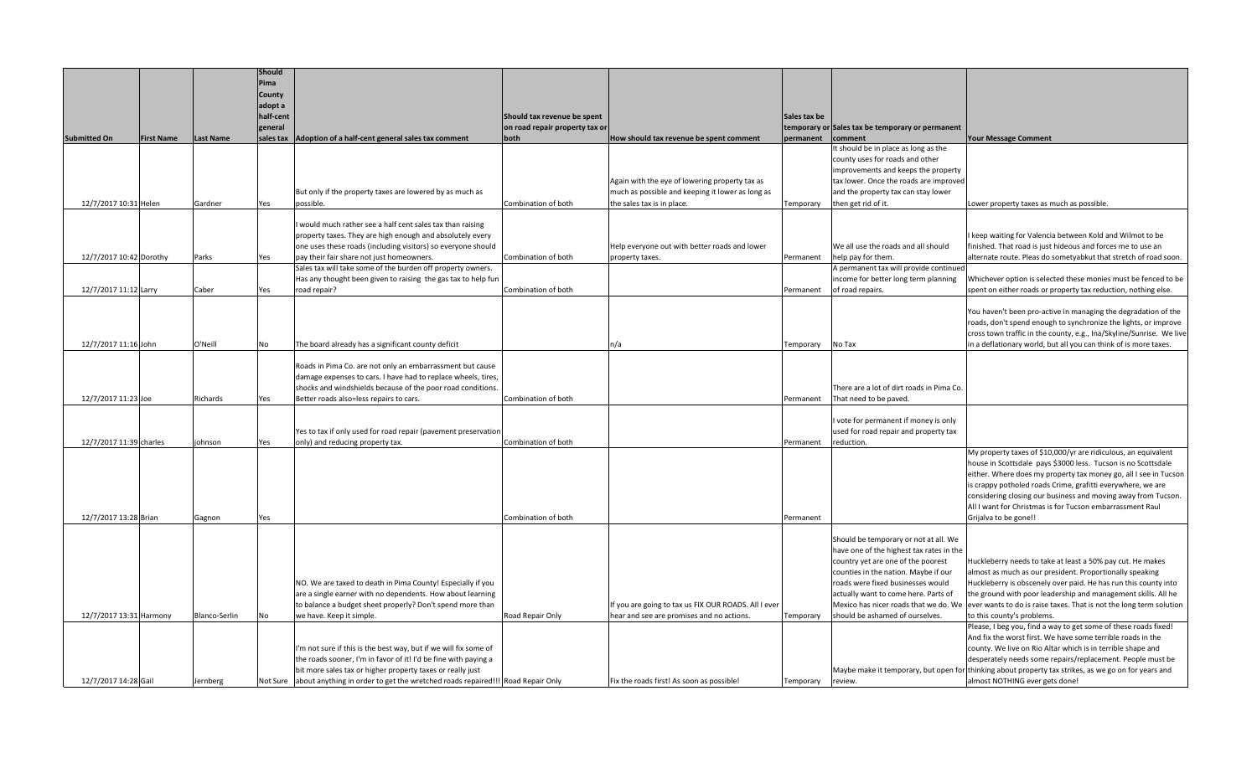|                         |                   |                  | Should<br>Pima       |                                                                                                                            |                                |                                                                                                   |                   |                                                                         |                                                                                                      |
|-------------------------|-------------------|------------------|----------------------|----------------------------------------------------------------------------------------------------------------------------|--------------------------------|---------------------------------------------------------------------------------------------------|-------------------|-------------------------------------------------------------------------|------------------------------------------------------------------------------------------------------|
|                         |                   |                  | County               |                                                                                                                            |                                |                                                                                                   |                   |                                                                         |                                                                                                      |
|                         |                   |                  | adopt a<br>half-cent |                                                                                                                            | Should tax revenue be spent    |                                                                                                   | Sales tax be      |                                                                         |                                                                                                      |
|                         |                   |                  | general              |                                                                                                                            | on road repair property tax or |                                                                                                   |                   | temporary or Sales tax be temporary or permanent                        |                                                                                                      |
| <b>Submitted On</b>     | <b>First Name</b> | <b>Last Name</b> |                      | sales tax   Adoption of a half-cent general sales tax comment                                                              | both                           | How should tax revenue be spent comment                                                           | permanent         | comment                                                                 | <b>Your Message Comment</b>                                                                          |
|                         |                   |                  |                      |                                                                                                                            |                                |                                                                                                   |                   | It should be in place as long as the<br>county uses for roads and other |                                                                                                      |
|                         |                   |                  |                      |                                                                                                                            |                                |                                                                                                   |                   | improvements and keeps the property                                     |                                                                                                      |
|                         |                   |                  |                      |                                                                                                                            |                                | Again with the eye of lowering property tax as                                                    |                   | tax lower. Once the roads are improved                                  |                                                                                                      |
|                         |                   |                  |                      | But only if the property taxes are lowered by as much as                                                                   |                                | much as possible and keeping it lower as long as                                                  |                   | and the property tax can stay lower                                     |                                                                                                      |
| 12/7/2017 10:31 Helen   |                   | Gardner          | Yes                  | possible.                                                                                                                  | Combination of both            | the sales tax is in place.                                                                        | Temporary         | then get rid of it.                                                     | Lower property taxes as much as possible.                                                            |
|                         |                   |                  |                      | would much rather see a half cent sales tax than raising                                                                   |                                |                                                                                                   |                   |                                                                         |                                                                                                      |
|                         |                   |                  |                      | property taxes. They are high enough and absolutely every                                                                  |                                |                                                                                                   |                   |                                                                         | I keep waiting for Valencia between Kold and Wilmot to be                                            |
|                         |                   |                  |                      | one uses these roads (including visitors) so everyone should                                                               |                                | Help everyone out with better roads and lower                                                     |                   | We all use the roads and all should                                     | finished. That road is just hideous and forces me to use an                                          |
| 12/7/2017 10:42 Dorothy |                   | Parks            | Yes                  | pay their fair share not just homeowners.                                                                                  | Combination of both            | property taxes.                                                                                   | Permanent         | help pay for them.                                                      | alternate route. Pleas do sometyabkut that stretch of road soon.                                     |
|                         |                   |                  |                      | Sales tax will take some of the burden off property owners.                                                                |                                |                                                                                                   |                   | A permanent tax will provide continued                                  |                                                                                                      |
|                         |                   |                  |                      | Has any thought been given to raising the gas tax to help fun                                                              |                                |                                                                                                   |                   | income for better long term planning                                    | Whichever option is selected these monies must be fenced to be                                       |
| 12/7/2017 11:12 Larry   |                   | Caber            | Yes                  | road repair?                                                                                                               | Combination of both            |                                                                                                   | Permanent         | of road repairs.                                                        | spent on either roads or property tax reduction, nothing else.                                       |
|                         |                   |                  |                      |                                                                                                                            |                                |                                                                                                   |                   |                                                                         | You haven't been pro-active in managing the degradation of the                                       |
|                         |                   |                  |                      |                                                                                                                            |                                |                                                                                                   |                   |                                                                         | roads, don't spend enough to synchronize the lights, or improve                                      |
|                         |                   |                  |                      |                                                                                                                            |                                |                                                                                                   |                   |                                                                         | cross town traffic in the county, e.g., Ina/Skyline/Sunrise. We live                                 |
| 12/7/2017 11:16 John    |                   | O'Neill          | No                   | The board already has a significant county deficit                                                                         |                                | n/a                                                                                               | Temporary         | No Tax                                                                  | in a deflationary world, but all you can think of is more taxes.                                     |
|                         |                   |                  |                      |                                                                                                                            |                                |                                                                                                   |                   |                                                                         |                                                                                                      |
|                         |                   |                  |                      | Roads in Pima Co. are not only an embarrassment but cause<br>damage expenses to cars. I have had to replace wheels, tires, |                                |                                                                                                   |                   |                                                                         |                                                                                                      |
|                         |                   |                  |                      | shocks and windshields because of the poor road conditions                                                                 |                                |                                                                                                   |                   | There are a lot of dirt roads in Pima Co.                               |                                                                                                      |
| 12/7/2017 11:23 Joe     |                   | Richards         | Yes                  | Better roads also=less repairs to cars.                                                                                    | Combination of both            |                                                                                                   | Permanent         | That need to be paved.                                                  |                                                                                                      |
|                         |                   |                  |                      |                                                                                                                            |                                |                                                                                                   |                   |                                                                         |                                                                                                      |
|                         |                   |                  |                      |                                                                                                                            |                                |                                                                                                   |                   | I vote for permanent if money is only                                   |                                                                                                      |
| 12/7/2017 11:39 charles |                   | johnson          |                      | Yes to tax if only used for road repair (pavement preservation<br>only) and reducing property tax.                         | Combination of both            |                                                                                                   | Permanent         | used for road repair and property tax<br>reduction.                     |                                                                                                      |
|                         |                   |                  | Yes                  |                                                                                                                            |                                |                                                                                                   |                   |                                                                         | My property taxes of \$10,000/yr are ridiculous, an equivalent                                       |
|                         |                   |                  |                      |                                                                                                                            |                                |                                                                                                   |                   |                                                                         | house in Scottsdale pays \$3000 less. Tucson is no Scottsdale                                        |
|                         |                   |                  |                      |                                                                                                                            |                                |                                                                                                   |                   |                                                                         | either. Where does my property tax money go, all I see in Tucson                                     |
|                         |                   |                  |                      |                                                                                                                            |                                |                                                                                                   |                   |                                                                         | is crappy potholed roads Crime, grafitti everywhere, we are                                          |
|                         |                   |                  |                      |                                                                                                                            |                                |                                                                                                   |                   |                                                                         | considering closing our business and moving away from Tucson.                                        |
|                         |                   |                  |                      |                                                                                                                            |                                |                                                                                                   |                   |                                                                         | All I want for Christmas is for Tucson embarrassment Raul                                            |
| 12/7/2017 13:28 Brian   |                   | Gagnon           | Yes                  |                                                                                                                            | Combination of both            |                                                                                                   | Permanent         |                                                                         | Grijalva to be gone!!                                                                                |
|                         |                   |                  |                      |                                                                                                                            |                                |                                                                                                   |                   | Should be temporary or not at all. We                                   |                                                                                                      |
|                         |                   |                  |                      |                                                                                                                            |                                |                                                                                                   |                   | have one of the highest tax rates in the                                |                                                                                                      |
|                         |                   |                  |                      |                                                                                                                            |                                |                                                                                                   |                   | country yet are one of the poorest                                      | Huckleberry needs to take at least a 50% pay cut. He makes                                           |
|                         |                   |                  |                      |                                                                                                                            |                                |                                                                                                   |                   | counties in the nation. Maybe if our                                    | almost as much as our president. Proportionally speaking                                             |
|                         |                   |                  |                      | NO. We are taxed to death in Pima County! Especially if you                                                                |                                |                                                                                                   |                   | roads were fixed businesses would                                       | Huckleberry is obscenely over paid. He has run this county into                                      |
|                         |                   |                  |                      | are a single earner with no dependents. How about learning                                                                 |                                |                                                                                                   |                   | actually want to come here. Parts of                                    | the ground with poor leadership and management skills. All he                                        |
| 12/7/2017 13:31 Harmony |                   | Blanco-Serlin    | No                   | to balance a budget sheet properly? Don't spend more than<br>we have. Keep it simple.                                      | Road Repair Only               | If you are going to tax us FIX OUR ROADS. All I ever<br>hear and see are promises and no actions. | Temporary         | Mexico has nicer roads that we do. W<br>should be ashamed of ourselves. | ever wants to do is raise taxes. That is not the long term solution<br>to this county's problems.    |
|                         |                   |                  |                      |                                                                                                                            |                                |                                                                                                   |                   |                                                                         | Please, I beg you, find a way to get some of these roads fixed!                                      |
|                         |                   |                  |                      |                                                                                                                            |                                |                                                                                                   |                   |                                                                         | And fix the worst first. We have some terrible roads in the                                          |
|                         |                   |                  |                      | I'm not sure if this is the best way, but if we will fix some of                                                           |                                |                                                                                                   |                   |                                                                         | county. We live on Rio Altar which is in terrible shape and                                          |
|                         |                   |                  |                      | the roads sooner, I'm in favor of it! I'd be fine with paying a                                                            |                                |                                                                                                   |                   |                                                                         | desperately needs some repairs/replacement. People must be                                           |
|                         |                   |                  |                      | bit more sales tax or higher property taxes or really just                                                                 |                                |                                                                                                   |                   |                                                                         | Maybe make it temporary, but open for thinking about property tax strikes, as we go on for years and |
| 12/7/2017 14:28 Gail    |                   | Jernberg         |                      | Not Sure about anything in order to get the wretched roads repaired!!! Road Repair Only                                    |                                | Fix the roads first! As soon as possible!                                                         | Temporary review. |                                                                         | almost NOTHING ever gets done!                                                                       |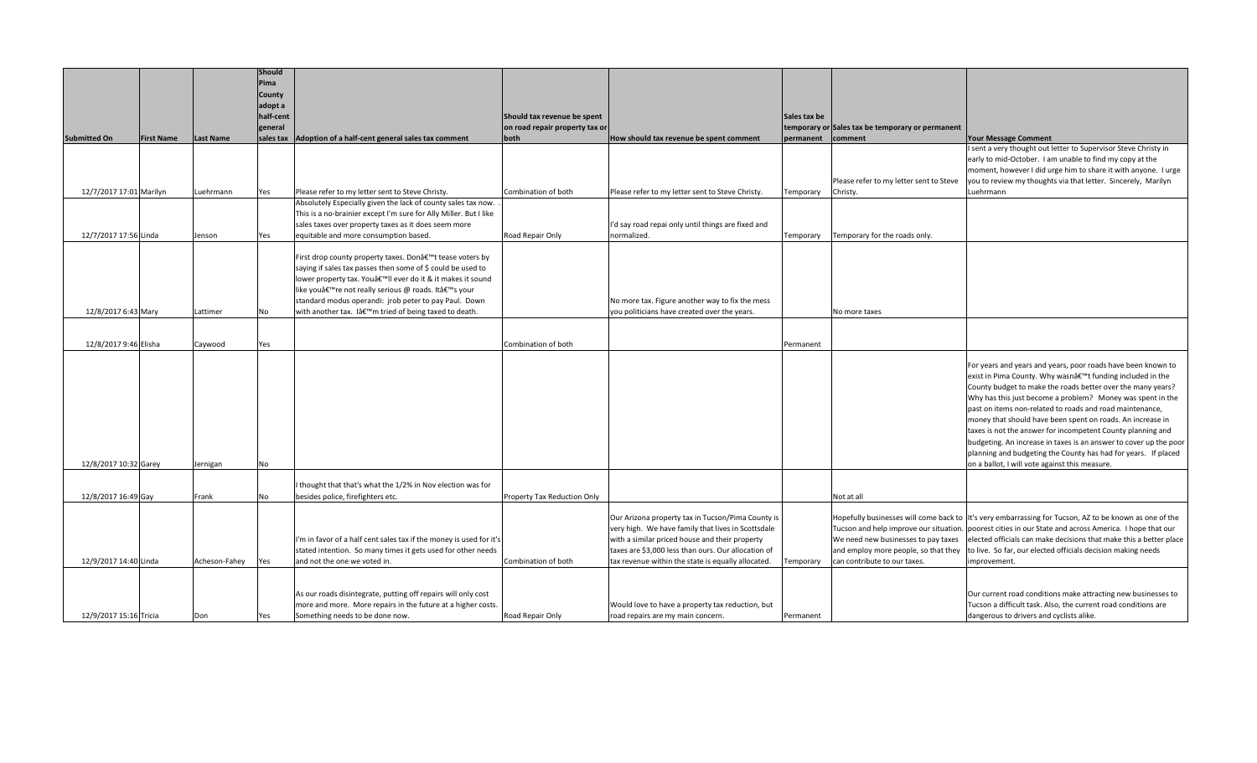|                         |                   |                  | Should    |                                                                     |                                |                                                     |              |                                                  |                                                                                                        |
|-------------------------|-------------------|------------------|-----------|---------------------------------------------------------------------|--------------------------------|-----------------------------------------------------|--------------|--------------------------------------------------|--------------------------------------------------------------------------------------------------------|
|                         |                   |                  | Pima      |                                                                     |                                |                                                     |              |                                                  |                                                                                                        |
|                         |                   |                  | County    |                                                                     |                                |                                                     |              |                                                  |                                                                                                        |
|                         |                   |                  | adopt a   |                                                                     |                                |                                                     |              |                                                  |                                                                                                        |
|                         |                   |                  | half-cent |                                                                     | Should tax revenue be spent    |                                                     | Sales tax be |                                                  |                                                                                                        |
|                         |                   |                  | general   |                                                                     | on road repair property tax or |                                                     |              | temporary or Sales tax be temporary or permanent |                                                                                                        |
| <b>Submitted On</b>     | <b>First Name</b> | <b>Last Name</b> | sales tax | Adoption of a half-cent general sales tax comment                   | both                           | How should tax revenue be spent comment             | permanent    | comment                                          | <b>Your Message Comment</b>                                                                            |
|                         |                   |                  |           |                                                                     |                                |                                                     |              |                                                  | I sent a very thought out letter to Supervisor Steve Christy in                                        |
|                         |                   |                  |           |                                                                     |                                |                                                     |              |                                                  | early to mid-October. I am unable to find my copy at the                                               |
|                         |                   |                  |           |                                                                     |                                |                                                     |              |                                                  | moment, however I did urge him to share it with anyone. I urge                                         |
|                         |                   |                  |           |                                                                     |                                |                                                     |              | Please refer to my letter sent to Steve          | you to review my thoughts via that letter. Sincerely, Marilyn                                          |
| 12/7/2017 17:01 Marilyn |                   | Luehrmann        | Yes       | Please refer to my letter sent to Steve Christy.                    | Combination of both            | Please refer to my letter sent to Steve Christy.    | Temporary    | Christy.                                         | Luehrmann                                                                                              |
|                         |                   |                  |           | Absolutely Especially given the lack of county sales tax now.       |                                |                                                     |              |                                                  |                                                                                                        |
|                         |                   |                  |           | This is a no-brainier except I'm sure for Ally Miller. But I like   |                                |                                                     |              |                                                  |                                                                                                        |
|                         |                   |                  |           | sales taxes over property taxes as it does seem more                |                                | I'd say road repai only until things are fixed and  |              |                                                  |                                                                                                        |
| 12/7/2017 17:56 Linda   |                   | Jenson           | Yes       | equitable and more consumption based.                               | Road Repair Only               | normalized.                                         | Temporary    | Temporary for the roads only.                    |                                                                                                        |
|                         |                   |                  |           |                                                                     |                                |                                                     |              |                                                  |                                                                                                        |
|                         |                   |                  |           | First drop county property taxes. Don't tease voters by             |                                |                                                     |              |                                                  |                                                                                                        |
|                         |                   |                  |           | saying if sales tax passes then some of \$ could be used to         |                                |                                                     |              |                                                  |                                                                                                        |
|                         |                   |                  |           | lower property tax. You'll ever do it & it makes it sound           |                                |                                                     |              |                                                  |                                                                                                        |
|                         |                   |                  |           | like youâ€ <sup>™</sup> re not really serious @ roads. It's your    |                                |                                                     |              |                                                  |                                                                                                        |
|                         |                   |                  |           | standard modus operandi: jrob peter to pay Paul. Down               |                                | No more tax. Figure another way to fix the mess     |              |                                                  |                                                                                                        |
| 12/8/2017 6:43 Mary     |                   | Lattimer         | No        | with another tax. I'm tried of being taxed to death.                |                                | you politicians have created over the years.        |              | No more taxes                                    |                                                                                                        |
|                         |                   |                  |           |                                                                     |                                |                                                     |              |                                                  |                                                                                                        |
|                         |                   |                  |           |                                                                     |                                |                                                     |              |                                                  |                                                                                                        |
| 12/8/2017 9:46 Elisha   |                   | Caywood          | Yes       |                                                                     | Combination of both            |                                                     | Permanent    |                                                  |                                                                                                        |
|                         |                   |                  |           |                                                                     |                                |                                                     |              |                                                  |                                                                                                        |
|                         |                   |                  |           |                                                                     |                                |                                                     |              |                                                  | For years and years and years, poor roads have been known to                                           |
|                         |                   |                  |           |                                                                     |                                |                                                     |              |                                                  | exist in Pima County. Why wasn't funding included in the                                               |
|                         |                   |                  |           |                                                                     |                                |                                                     |              |                                                  | County budget to make the roads better over the many years?                                            |
|                         |                   |                  |           |                                                                     |                                |                                                     |              |                                                  | Why has this just become a problem? Money was spent in the                                             |
|                         |                   |                  |           |                                                                     |                                |                                                     |              |                                                  | past on items non-related to roads and road maintenance,                                               |
|                         |                   |                  |           |                                                                     |                                |                                                     |              |                                                  | money that should have been spent on roads. An increase in                                             |
|                         |                   |                  |           |                                                                     |                                |                                                     |              |                                                  | taxes is not the answer for incompetent County planning and                                            |
|                         |                   |                  |           |                                                                     |                                |                                                     |              |                                                  | budgeting. An increase in taxes is an answer to cover up the poor                                      |
|                         |                   |                  |           |                                                                     |                                |                                                     |              |                                                  | planning and budgeting the County has had for years. If placed                                         |
| 12/8/2017 10:32 Garey   |                   | Jernigan         | No        |                                                                     |                                |                                                     |              |                                                  | on a ballot, I will vote against this measure.                                                         |
|                         |                   |                  |           |                                                                     |                                |                                                     |              |                                                  |                                                                                                        |
|                         |                   |                  |           | I thought that that's what the 1/2% in Nov election was for         |                                |                                                     |              |                                                  |                                                                                                        |
| 12/8/2017 16:49 Gay     |                   | Frank            | No        | besides police, firefighters etc.                                   | Property Tax Reduction Only    |                                                     |              | Not at all                                       |                                                                                                        |
|                         |                   |                  |           |                                                                     |                                |                                                     |              |                                                  |                                                                                                        |
|                         |                   |                  |           |                                                                     |                                | Our Arizona property tax in Tucson/Pima County is   |              |                                                  | Hopefully businesses will come back to It's very embarrassing for Tucson, AZ to be known as one of the |
|                         |                   |                  |           |                                                                     |                                | very high. We have family that lives in Scottsdale  |              |                                                  | Tucson and help improve our situation. poorest cities in our State and across America. I hope that our |
|                         |                   |                  |           | I'm in favor of a half cent sales tax if the money is used for it's |                                | with a similar priced house and their property      |              | We need new businesses to pay taxes              | elected officials can make decisions that make this a better place                                     |
|                         |                   |                  |           | stated intention. So many times it gets used for other needs        |                                | taxes are \$3,000 less than ours. Our allocation of |              | and employ more people, so that they             | to live. So far, our elected officials decision making needs                                           |
| 12/9/2017 14:40 Linda   |                   | Acheson-Fahey    | Yes       | and not the one we voted in.                                        | Combination of both            | tax revenue within the state is equally allocated.  | Temporary    | can contribute to our taxes.                     | mprovement                                                                                             |
|                         |                   |                  |           |                                                                     |                                |                                                     |              |                                                  |                                                                                                        |
|                         |                   |                  |           |                                                                     |                                |                                                     |              |                                                  |                                                                                                        |
|                         |                   |                  |           | As our roads disintegrate, putting off repairs will only cost       |                                |                                                     |              |                                                  | Our current road conditions make attracting new businesses to                                          |
|                         |                   |                  |           | more and more. More repairs in the future at a higher costs.        |                                | Would love to have a property tax reduction, but    |              |                                                  | Tucson a difficult task. Also, the current road conditions are                                         |
| 12/9/2017 15:16 Tricia  |                   | Don              | Yes       | Something needs to be done now.                                     | Road Repair Only               | road repairs are my main concern.                   | Permanent    |                                                  | dangerous to drivers and cyclists alike.                                                               |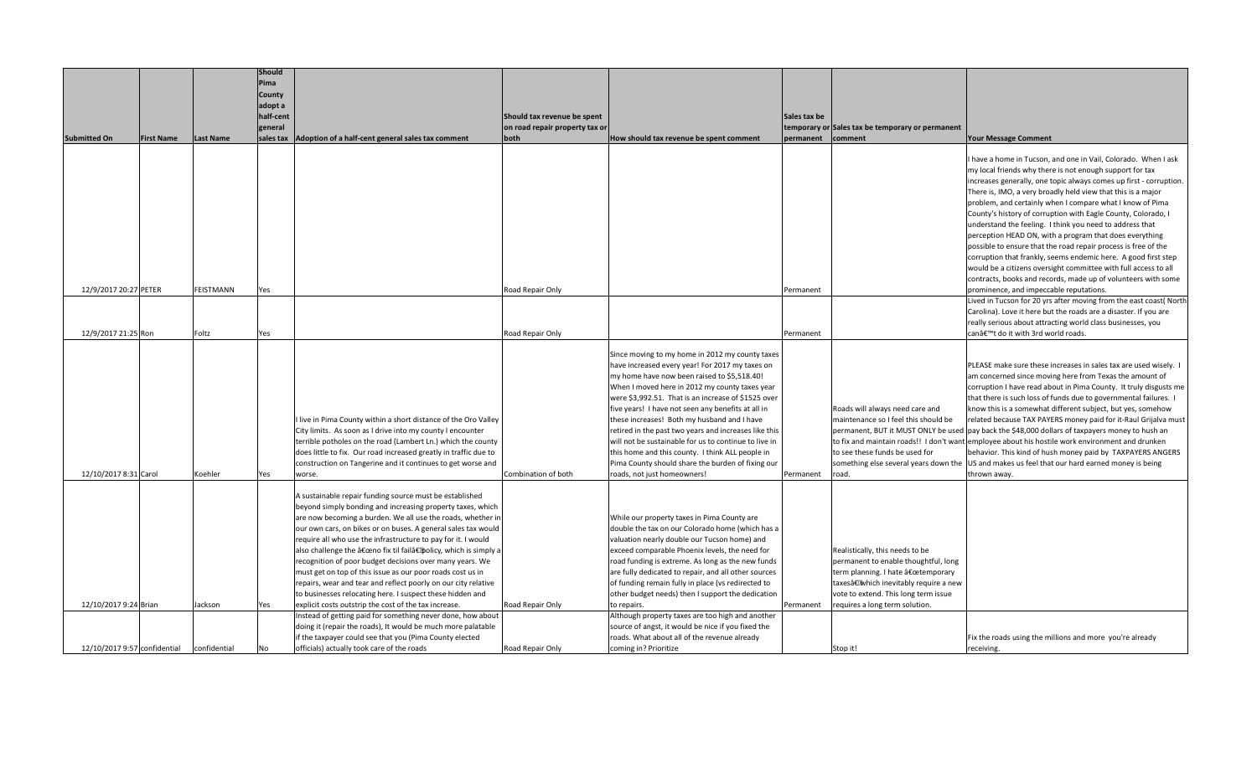|                              |                   |                  | Should    |                                                                                                                             |                                |                                                                 |              |                                                  |                                                                                                   |
|------------------------------|-------------------|------------------|-----------|-----------------------------------------------------------------------------------------------------------------------------|--------------------------------|-----------------------------------------------------------------|--------------|--------------------------------------------------|---------------------------------------------------------------------------------------------------|
|                              |                   |                  | Pima      |                                                                                                                             |                                |                                                                 |              |                                                  |                                                                                                   |
|                              |                   |                  | County    |                                                                                                                             |                                |                                                                 |              |                                                  |                                                                                                   |
|                              |                   |                  | adopt a   |                                                                                                                             |                                |                                                                 |              |                                                  |                                                                                                   |
|                              |                   |                  | half-cent |                                                                                                                             | Should tax revenue be spent    |                                                                 | Sales tax be |                                                  |                                                                                                   |
|                              |                   |                  | general   |                                                                                                                             | on road repair property tax or |                                                                 |              | temporary or Sales tax be temporary or permanent |                                                                                                   |
| <b>Submitted On</b>          | <b>First Name</b> | <b>Last Name</b> | sales tax | Adoption of a half-cent general sales tax comment                                                                           | both                           | How should tax revenue be spent comment                         | permanent    | comment                                          | <b>Your Message Comment</b>                                                                       |
|                              |                   |                  |           |                                                                                                                             |                                |                                                                 |              |                                                  |                                                                                                   |
|                              |                   |                  |           |                                                                                                                             |                                |                                                                 |              |                                                  | I have a home in Tucson, and one in Vail, Colorado. When I ask                                    |
|                              |                   |                  |           |                                                                                                                             |                                |                                                                 |              |                                                  | my local friends why there is not enough support for tax                                          |
|                              |                   |                  |           |                                                                                                                             |                                |                                                                 |              |                                                  | increases generally, one topic always comes up first - corruption.                                |
|                              |                   |                  |           |                                                                                                                             |                                |                                                                 |              |                                                  | There is, IMO, a very broadly held view that this is a major                                      |
|                              |                   |                  |           |                                                                                                                             |                                |                                                                 |              |                                                  | problem, and certainly when I compare what I know of Pima                                         |
|                              |                   |                  |           |                                                                                                                             |                                |                                                                 |              |                                                  | County's history of corruption with Eagle County, Colorado, I                                     |
|                              |                   |                  |           |                                                                                                                             |                                |                                                                 |              |                                                  | understand the feeling. I think you need to address that                                          |
|                              |                   |                  |           |                                                                                                                             |                                |                                                                 |              |                                                  | perception HEAD ON, with a program that does everything                                           |
|                              |                   |                  |           |                                                                                                                             |                                |                                                                 |              |                                                  | possible to ensure that the road repair process is free of the                                    |
|                              |                   |                  |           |                                                                                                                             |                                |                                                                 |              |                                                  | corruption that frankly, seems endemic here. A good first step                                    |
|                              |                   |                  |           |                                                                                                                             |                                |                                                                 |              |                                                  | would be a citizens oversight committee with full access to all                                   |
|                              |                   |                  |           |                                                                                                                             |                                |                                                                 |              |                                                  | contracts, books and records, made up of volunteers with some                                     |
| 12/9/2017 20:27 PETER        |                   | <b>FEISTMANN</b> | Yes       |                                                                                                                             | Road Repair Only               |                                                                 | Permanent    |                                                  | prominence, and impeccable reputations.                                                           |
|                              |                   |                  |           |                                                                                                                             |                                |                                                                 |              |                                                  | Lived in Tucson for 20 yrs after moving from the east coast( North                                |
|                              |                   |                  |           |                                                                                                                             |                                |                                                                 |              |                                                  | Carolina). Love it here but the roads are a disaster. If you are                                  |
|                              |                   |                  |           |                                                                                                                             |                                |                                                                 |              |                                                  | really serious about attracting world class businesses, you                                       |
| 12/9/2017 21:25 Ron          |                   | Foltz            | Yes       |                                                                                                                             | Road Repair Only               |                                                                 | Permanent    |                                                  | can't do it with 3rd world roads.                                                                 |
|                              |                   |                  |           |                                                                                                                             |                                | Since moving to my home in 2012 my county taxes                 |              |                                                  |                                                                                                   |
|                              |                   |                  |           |                                                                                                                             |                                | have increased every year! For 2017 my taxes on                 |              |                                                  | PLEASE make sure these increases in sales tax are used wisely.                                    |
|                              |                   |                  |           |                                                                                                                             |                                | my home have now been raised to \$5,518.40!                     |              |                                                  | am concerned since moving here from Texas the amount of                                           |
|                              |                   |                  |           |                                                                                                                             |                                | When I moved here in 2012 my county taxes year                  |              |                                                  | corruption I have read about in Pima County. It truly disgusts me                                 |
|                              |                   |                  |           |                                                                                                                             |                                | were \$3,992.51. That is an increase of \$1525 over             |              |                                                  | that there is such loss of funds due to governmental failures. I                                  |
|                              |                   |                  |           |                                                                                                                             |                                | five years! I have not seen any benefits at all in              |              | Roads will always need care and                  | know this is a somewhat different subject, but yes, somehow                                       |
|                              |                   |                  |           | I live in Pima County within a short distance of the Oro Valley                                                             |                                | these increases! Both my husband and I have                     |              | maintenance so I feel this should be             | related because TAX PAYERS money paid for it-Raul Grijalva must                                   |
|                              |                   |                  |           | City limits. As soon as I drive into my county I encounter                                                                  |                                | retired in the past two years and increases like this           |              |                                                  | permanent, BUT it MUST ONLY be used   pay back the \$48,000 dollars of taxpayers money to hush an |
|                              |                   |                  |           | terrible potholes on the road (Lambert Ln.) which the county                                                                |                                | will not be sustainable for us to continue to live in           |              |                                                  | to fix and maintain roads!! I don't want employee about his hostile work environment and drunken  |
|                              |                   |                  |           | does little to fix. Our road increased greatly in traffic due to                                                            |                                | this home and this county. I think ALL people in                |              | to see these funds be used for                   | behavior. This kind of hush money paid by TAXPAYERS ANGERS                                        |
|                              |                   |                  |           | construction on Tangerine and it continues to get worse and                                                                 |                                | Pima County should share the burden of fixing our               |              |                                                  | something else several years down the US and makes us feel that our hard earned money is being    |
| 12/10/2017 8:31 Carol        |                   | Koehler          | Yes       | worse.                                                                                                                      | Combination of both            | roads, not just homeowners!                                     | Permanent    | oad.                                             | thrown away.                                                                                      |
|                              |                   |                  |           |                                                                                                                             |                                |                                                                 |              |                                                  |                                                                                                   |
|                              |                   |                  |           | A sustainable repair funding source must be established                                                                     |                                |                                                                 |              |                                                  |                                                                                                   |
|                              |                   |                  |           | beyond simply bonding and increasing property taxes, which                                                                  |                                |                                                                 |              |                                                  |                                                                                                   |
|                              |                   |                  |           | are now becoming a burden. We all use the roads, whether i                                                                  |                                | While our property taxes in Pima County are                     |              |                                                  |                                                                                                   |
|                              |                   |                  |           | our own cars, on bikes or on buses. A general sales tax would                                                               |                                | double the tax on our Colorado home (which has a                |              |                                                  |                                                                                                   |
|                              |                   |                  |           | require all who use the infrastructure to pay for it. I would                                                               |                                | valuation nearly double our Tucson home) and                    |              |                                                  |                                                                                                   |
|                              |                   |                  |           | also challenge the "no fix til fail†policy, which is simply a                                                               |                                | exceed comparable Phoenix levels, the need for                  |              | Realistically, this needs to be                  |                                                                                                   |
|                              |                   |                  |           | recognition of poor budget decisions over many years. We                                                                    |                                | road funding is extreme. As long as the new funds               |              | permanent to enable thoughtful, long             |                                                                                                   |
|                              |                   |                  |           | must get on top of this issue as our poor roads cost us in                                                                  |                                | are fully dedicated to repair, and all other sources            |              | term planning. I hate "temporary                 |                                                                                                   |
|                              |                   |                  |           | repairs, wear and tear and reflect poorly on our city relative                                                              |                                | of funding remain fully in place (vs redirected to              |              | taxes†Which inevitably require a new             |                                                                                                   |
|                              |                   |                  |           | to businesses relocating here. I suspect these hidden and                                                                   |                                | other budget needs) then I support the dedication               |              | vote to extend. This long term issue             |                                                                                                   |
| 12/10/2017 9:24 Brian        |                   | Jackson          | Yes       | explicit costs outstrip the cost of the tax increase.                                                                       | Road Repair Only               | to repairs.<br>Although property taxes are too high and another | Permanent    | requires a long term solution.                   |                                                                                                   |
|                              |                   |                  |           | Instead of getting paid for something never done, how about<br>doing it (repair the roads), It would be much more palatable |                                | source of angst, it would be nice if you fixed the              |              |                                                  |                                                                                                   |
|                              |                   |                  |           | if the taxpayer could see that you (Pima County elected                                                                     |                                | roads. What about all of the revenue already                    |              |                                                  | Fix the roads using the millions and more you're already                                          |
| 12/10/2017 9:57 confidential |                   | confidential     | No        | officials) actually took care of the roads                                                                                  | Road Repair Only               | coming in? Prioritize                                           |              | Stop it!                                         | receiving.                                                                                        |
|                              |                   |                  |           |                                                                                                                             |                                |                                                                 |              |                                                  |                                                                                                   |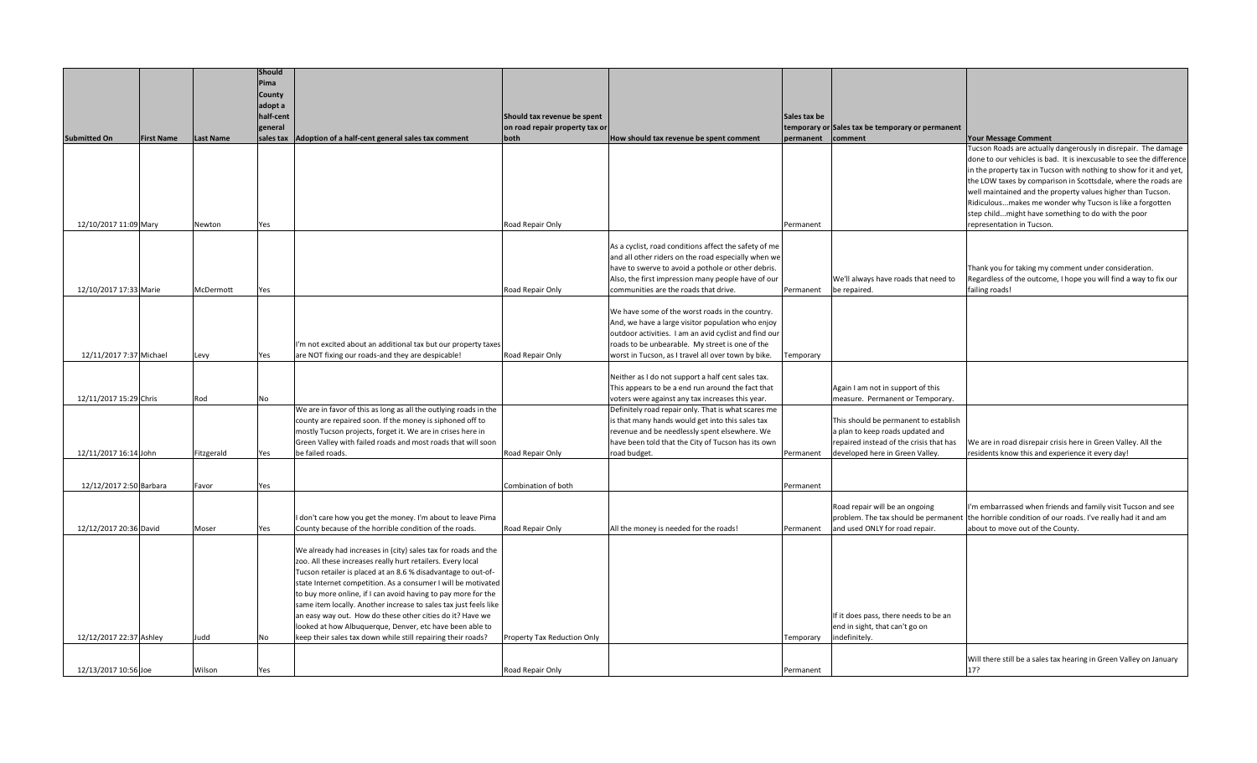|                         |                   |                  | <b>Should</b>     |                                                                                                                              |                                |                                                                    |                   |                                                                            |                                                                                                                   |
|-------------------------|-------------------|------------------|-------------------|------------------------------------------------------------------------------------------------------------------------------|--------------------------------|--------------------------------------------------------------------|-------------------|----------------------------------------------------------------------------|-------------------------------------------------------------------------------------------------------------------|
|                         |                   |                  | Pima              |                                                                                                                              |                                |                                                                    |                   |                                                                            |                                                                                                                   |
|                         |                   |                  | County<br>adopt a |                                                                                                                              |                                |                                                                    |                   |                                                                            |                                                                                                                   |
|                         |                   |                  | half-cent         |                                                                                                                              | Should tax revenue be spent    |                                                                    | Sales tax be      |                                                                            |                                                                                                                   |
|                         |                   |                  | general           |                                                                                                                              | on road repair property tax or |                                                                    |                   | temporary or Sales tax be temporary or permanent                           |                                                                                                                   |
| <b>Submitted On</b>     | <b>First Name</b> | <b>Last Name</b> |                   | sales tax   Adoption of a half-cent general sales tax comment                                                                | both                           | How should tax revenue be spent comment                            | permanent comment |                                                                            | <b>Your Message Comment</b>                                                                                       |
|                         |                   |                  |                   |                                                                                                                              |                                |                                                                    |                   |                                                                            | Tucson Roads are actually dangerously in disrepair. The damage                                                    |
|                         |                   |                  |                   |                                                                                                                              |                                |                                                                    |                   |                                                                            | done to our vehicles is bad. It is inexcusable to see the difference                                              |
|                         |                   |                  |                   |                                                                                                                              |                                |                                                                    |                   |                                                                            | in the property tax in Tucson with nothing to show for it and yet,                                                |
|                         |                   |                  |                   |                                                                                                                              |                                |                                                                    |                   |                                                                            | the LOW taxes by comparison in Scottsdale, where the roads are                                                    |
|                         |                   |                  |                   |                                                                                                                              |                                |                                                                    |                   |                                                                            | well maintained and the property values higher than Tucson.                                                       |
|                         |                   |                  |                   |                                                                                                                              |                                |                                                                    |                   |                                                                            | Ridiculousmakes me wonder why Tucson is like a forgotten<br>step childmight have something to do with the poor    |
| 12/10/2017 11:09 Mary   |                   | Newton           | Yes               |                                                                                                                              | Road Repair Only               |                                                                    | Permanent         |                                                                            | representation in Tucson.                                                                                         |
|                         |                   |                  |                   |                                                                                                                              |                                |                                                                    |                   |                                                                            |                                                                                                                   |
|                         |                   |                  |                   |                                                                                                                              |                                | As a cyclist, road conditions affect the safety of me              |                   |                                                                            |                                                                                                                   |
|                         |                   |                  |                   |                                                                                                                              |                                | and all other riders on the road especially when we                |                   |                                                                            |                                                                                                                   |
|                         |                   |                  |                   |                                                                                                                              |                                | have to swerve to avoid a pothole or other debris.                 |                   |                                                                            | Thank you for taking my comment under consideration.                                                              |
|                         |                   |                  |                   |                                                                                                                              |                                | Also, the first impression many people have of our                 |                   | We'll always have roads that need to                                       | Regardless of the outcome, I hope you will find a way to fix our                                                  |
| 12/10/2017 17:33 Marie  |                   | McDermott        | Yes               |                                                                                                                              | Road Repair Only               | communities are the roads that drive.                              | Permanent         | be repaired.                                                               | failing roads!                                                                                                    |
|                         |                   |                  |                   |                                                                                                                              |                                | We have some of the worst roads in the country.                    |                   |                                                                            |                                                                                                                   |
|                         |                   |                  |                   |                                                                                                                              |                                | And, we have a large visitor population who enjoy                  |                   |                                                                            |                                                                                                                   |
|                         |                   |                  |                   |                                                                                                                              |                                | outdoor activities. I am an avid cyclist and find our              |                   |                                                                            |                                                                                                                   |
|                         |                   |                  |                   | I'm not excited about an additional tax but our property taxes                                                               |                                | roads to be unbearable. My street is one of the                    |                   |                                                                            |                                                                                                                   |
| 12/11/2017 7:37 Michael |                   | Levy             | Yes               | are NOT fixing our roads-and they are despicable!                                                                            | Road Repair Only               | worst in Tucson, as I travel all over town by bike.                | Temporary         |                                                                            |                                                                                                                   |
|                         |                   |                  |                   |                                                                                                                              |                                | Neither as I do not support a half cent sales tax.                 |                   |                                                                            |                                                                                                                   |
|                         |                   |                  |                   |                                                                                                                              |                                | This appears to be a end run around the fact that                  |                   | Again I am not in support of this                                          |                                                                                                                   |
| 12/11/2017 15:29 Chris  |                   | Rod              | No                |                                                                                                                              |                                | voters were against any tax increases this year.                   |                   | measure. Permanent or Temporary.                                           |                                                                                                                   |
|                         |                   |                  |                   | We are in favor of this as long as all the outlying roads in the                                                             |                                | Definitely road repair only. That is what scares me                |                   |                                                                            |                                                                                                                   |
|                         |                   |                  |                   | county are repaired soon. If the money is siphoned off to                                                                    |                                | is that many hands would get into this sales tax                   |                   | This should be permanent to establish                                      |                                                                                                                   |
|                         |                   |                  |                   | mostly Tucson projects, forget it. We are in crises here in                                                                  |                                | revenue and be needlessly spent elsewhere. We                      |                   | a plan to keep roads updated and                                           |                                                                                                                   |
| 12/11/2017 16:14 John   |                   | Fitzgerald       | Yes               | Green Valley with failed roads and most roads that will soon<br>be failed roads.                                             | Road Repair Only               | have been told that the City of Tucson has its own<br>road budget. | Permanent         | repaired instead of the crisis that has<br>developed here in Green Valley. | We are in road disrepair crisis here in Green Valley. All the<br>residents know this and experience it every day! |
|                         |                   |                  |                   |                                                                                                                              |                                |                                                                    |                   |                                                                            |                                                                                                                   |
|                         |                   |                  |                   |                                                                                                                              |                                |                                                                    |                   |                                                                            |                                                                                                                   |
| 12/12/2017 2:50 Barbara |                   | Favor            | Yes               |                                                                                                                              | Combination of both            |                                                                    | Permanent         |                                                                            |                                                                                                                   |
|                         |                   |                  |                   |                                                                                                                              |                                |                                                                    |                   | Road repair will be an ongoing                                             | I'm embarrassed when friends and family visit Tucson and see                                                      |
|                         |                   |                  |                   | I don't care how you get the money. I'm about to leave Pima                                                                  |                                |                                                                    |                   |                                                                            | problem. The tax should be permanent the horrible condition of our roads. I've really had it and am               |
| 12/12/2017 20:36 David  |                   | Moser            | Yes               | County because of the horrible condition of the roads.                                                                       | Road Repair Only               | All the money is needed for the roads!                             | Permanent         | and used ONLY for road repair.                                             | about to move out of the County.                                                                                  |
|                         |                   |                  |                   |                                                                                                                              |                                |                                                                    |                   |                                                                            |                                                                                                                   |
|                         |                   |                  |                   | We already had increases in (city) sales tax for roads and the                                                               |                                |                                                                    |                   |                                                                            |                                                                                                                   |
|                         |                   |                  |                   | zoo. All these increases really hurt retailers. Every local<br>Tucson retailer is placed at an 8.6 % disadvantage to out-of- |                                |                                                                    |                   |                                                                            |                                                                                                                   |
|                         |                   |                  |                   | state Internet competition. As a consumer I will be motivated                                                                |                                |                                                                    |                   |                                                                            |                                                                                                                   |
|                         |                   |                  |                   | to buy more online, if I can avoid having to pay more for the                                                                |                                |                                                                    |                   |                                                                            |                                                                                                                   |
|                         |                   |                  |                   | same item locally. Another increase to sales tax just feels like                                                             |                                |                                                                    |                   |                                                                            |                                                                                                                   |
|                         |                   |                  |                   | an easy way out. How do these other cities do it? Have we                                                                    |                                |                                                                    |                   | If it does pass, there needs to be an                                      |                                                                                                                   |
|                         |                   |                  |                   | looked at how Albuquerque, Denver, etc have been able to                                                                     |                                |                                                                    |                   | end in sight, that can't go on                                             |                                                                                                                   |
| 12/12/2017 22:37 Ashley |                   | Judd             | No                | keep their sales tax down while still repairing their roads?                                                                 | Property Tax Reduction Only    |                                                                    | Temporary         | indefinitely.                                                              |                                                                                                                   |
|                         |                   |                  |                   |                                                                                                                              |                                |                                                                    |                   |                                                                            | Will there still be a sales tax hearing in Green Valley on January                                                |
| 12/13/2017 10:56 Joe    |                   | Wilson           | Yes               |                                                                                                                              | Road Repair Only               |                                                                    | Permanent         |                                                                            | 17?                                                                                                               |
|                         |                   |                  |                   |                                                                                                                              |                                |                                                                    |                   |                                                                            |                                                                                                                   |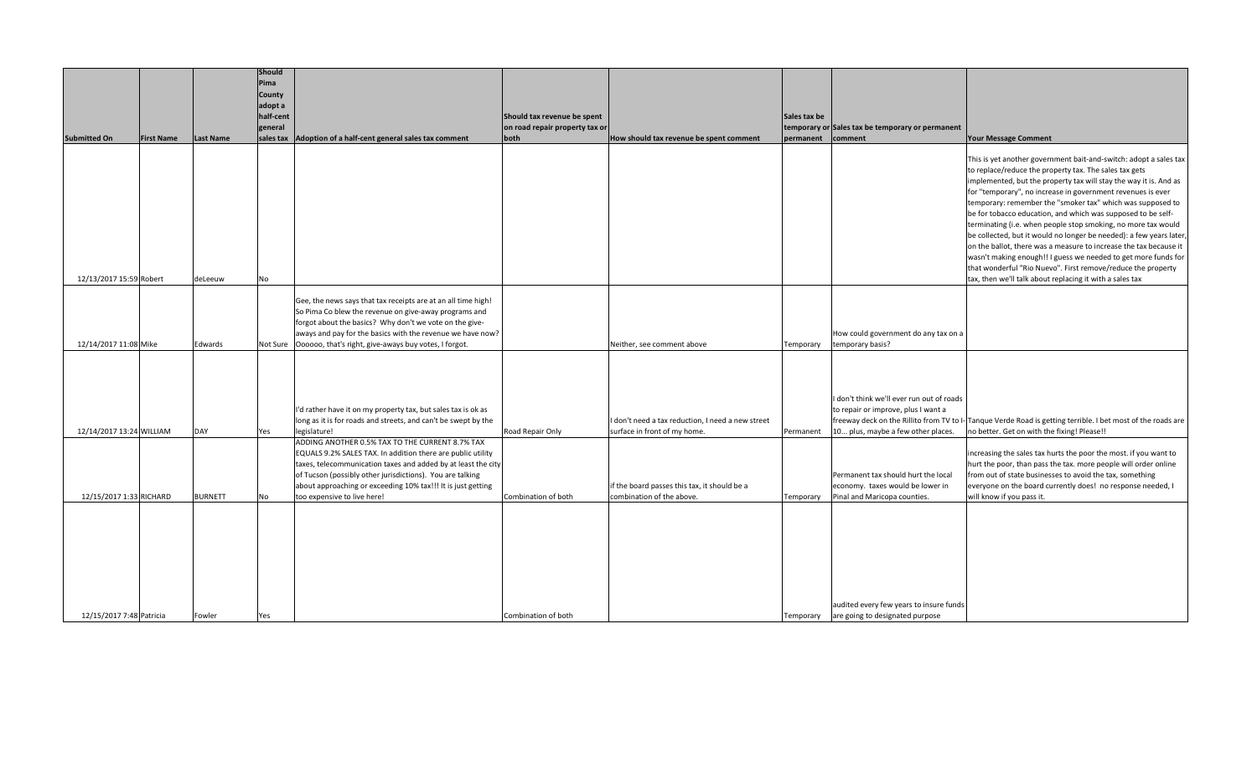|                          |                   |                  | Should               |                                                                                                                                |                                |                                                   |              |                                                          |                                                                                                                                     |
|--------------------------|-------------------|------------------|----------------------|--------------------------------------------------------------------------------------------------------------------------------|--------------------------------|---------------------------------------------------|--------------|----------------------------------------------------------|-------------------------------------------------------------------------------------------------------------------------------------|
|                          |                   |                  | Pima                 |                                                                                                                                |                                |                                                   |              |                                                          |                                                                                                                                     |
|                          |                   |                  | County               |                                                                                                                                |                                |                                                   |              |                                                          |                                                                                                                                     |
|                          |                   |                  | adopt a<br>half-cent |                                                                                                                                | Should tax revenue be spent    |                                                   | Sales tax be |                                                          |                                                                                                                                     |
|                          |                   |                  | general              |                                                                                                                                | on road repair property tax or |                                                   |              | temporary or Sales tax be temporary or permanent         |                                                                                                                                     |
| <b>Submitted On</b>      | <b>First Name</b> | <b>Last Name</b> | sales tax            | Adoption of a half-cent general sales tax comment                                                                              | both                           | How should tax revenue be spent comment           | permanent    | comment                                                  | <b>Your Message Comment</b>                                                                                                         |
|                          |                   |                  |                      |                                                                                                                                |                                |                                                   |              |                                                          |                                                                                                                                     |
|                          |                   |                  |                      |                                                                                                                                |                                |                                                   |              |                                                          | This is yet another government bait-and-switch: adopt a sales tax                                                                   |
|                          |                   |                  |                      |                                                                                                                                |                                |                                                   |              |                                                          | to replace/reduce the property tax. The sales tax gets                                                                              |
|                          |                   |                  |                      |                                                                                                                                |                                |                                                   |              |                                                          | implemented, but the property tax will stay the way it is. And as                                                                   |
|                          |                   |                  |                      |                                                                                                                                |                                |                                                   |              |                                                          | for "temporary", no increase in government revenues is ever<br>temporary: remember the "smoker tax" which was supposed to           |
|                          |                   |                  |                      |                                                                                                                                |                                |                                                   |              |                                                          | be for tobacco education, and which was supposed to be self-                                                                        |
|                          |                   |                  |                      |                                                                                                                                |                                |                                                   |              |                                                          | terminating (i.e. when people stop smoking, no more tax would                                                                       |
|                          |                   |                  |                      |                                                                                                                                |                                |                                                   |              |                                                          | be collected, but it would no longer be needed): a few years later,                                                                 |
|                          |                   |                  |                      |                                                                                                                                |                                |                                                   |              |                                                          | on the ballot, there was a measure to increase the tax because it                                                                   |
|                          |                   |                  |                      |                                                                                                                                |                                |                                                   |              |                                                          | wasn't making enough!! I guess we needed to get more funds for                                                                      |
| 12/13/2017 15:59 Robert  |                   | deLeeuw          | No                   |                                                                                                                                |                                |                                                   |              |                                                          | that wonderful "Rio Nuevo". First remove/reduce the property<br>tax, then we'll talk about replacing it with a sales tax            |
|                          |                   |                  |                      |                                                                                                                                |                                |                                                   |              |                                                          |                                                                                                                                     |
|                          |                   |                  |                      | Gee, the news says that tax receipts are at an all time high!                                                                  |                                |                                                   |              |                                                          |                                                                                                                                     |
|                          |                   |                  |                      | So Pima Co blew the revenue on give-away programs and                                                                          |                                |                                                   |              |                                                          |                                                                                                                                     |
|                          |                   |                  |                      | forgot about the basics? Why don't we vote on the give-                                                                        |                                |                                                   |              |                                                          |                                                                                                                                     |
| 12/14/2017 11:08 Mike    |                   | Edwards          |                      | aways and pay for the basics with the revenue we have now?<br>Not Sure   Oooooo, that's right, give-aways buy votes, I forgot. |                                | Neither, see comment above                        | Temporary    | How could government do any tax on a<br>temporary basis? |                                                                                                                                     |
|                          |                   |                  |                      |                                                                                                                                |                                |                                                   |              |                                                          |                                                                                                                                     |
|                          |                   |                  |                      |                                                                                                                                |                                |                                                   |              |                                                          |                                                                                                                                     |
|                          |                   |                  |                      |                                                                                                                                |                                |                                                   |              |                                                          |                                                                                                                                     |
|                          |                   |                  |                      |                                                                                                                                |                                |                                                   |              | I don't think we'll ever run out of roads                |                                                                                                                                     |
|                          |                   |                  |                      | I'd rather have it on my property tax, but sales tax is ok as                                                                  |                                |                                                   |              | to repair or improve, plus I want a                      |                                                                                                                                     |
|                          |                   |                  |                      | long as it is for roads and streets, and can't be swept by the                                                                 |                                | I don't need a tax reduction, I need a new street |              |                                                          | freeway deck on the Rillito from TV to I- Tanque Verde Road is getting terrible. I bet most of the roads are                        |
| 12/14/2017 13:24 WILLIAM |                   | DAY              | Yes                  | legislature!                                                                                                                   | Road Repair Only               | surface in front of my home.                      | Permanent    | 10 plus, maybe a few other places.                       | no better. Get on with the fixing! Please!!                                                                                         |
|                          |                   |                  |                      | ADDING ANOTHER 0.5% TAX TO THE CURRENT 8.7% TAX                                                                                |                                |                                                   |              |                                                          |                                                                                                                                     |
|                          |                   |                  |                      | EQUALS 9.2% SALES TAX. In addition there are public utility<br>taxes, telecommunication taxes and added by at least the city   |                                |                                                   |              |                                                          | increasing the sales tax hurts the poor the most. if you want to<br>hurt the poor, than pass the tax. more people will order online |
|                          |                   |                  |                      | of Tucson (possibly other jurisdictions). You are talking                                                                      |                                |                                                   |              | Permanent tax should hurt the local                      | from out of state businesses to avoid the tax, something                                                                            |
|                          |                   |                  |                      | about approaching or exceeding 10% tax!!! It is just getting                                                                   |                                | if the board passes this tax, it should be a      |              | economy. taxes would be lower in                         | everyone on the board currently does! no response needed, I                                                                         |
| 12/15/2017 1:33 RICHARD  |                   | <b>BURNETT</b>   | No                   | too expensive to live here!                                                                                                    | Combination of both            | combination of the above.                         | Temporary    | Pinal and Maricopa counties.                             | will know if you pass it.                                                                                                           |
|                          |                   |                  |                      |                                                                                                                                |                                |                                                   |              |                                                          |                                                                                                                                     |
|                          |                   |                  |                      |                                                                                                                                |                                |                                                   |              |                                                          |                                                                                                                                     |
|                          |                   |                  |                      |                                                                                                                                |                                |                                                   |              |                                                          |                                                                                                                                     |
|                          |                   |                  |                      |                                                                                                                                |                                |                                                   |              |                                                          |                                                                                                                                     |
|                          |                   |                  |                      |                                                                                                                                |                                |                                                   |              |                                                          |                                                                                                                                     |
|                          |                   |                  |                      |                                                                                                                                |                                |                                                   |              |                                                          |                                                                                                                                     |
|                          |                   |                  |                      |                                                                                                                                |                                |                                                   |              |                                                          |                                                                                                                                     |
|                          |                   |                  |                      |                                                                                                                                |                                |                                                   |              | audited every few years to insure funds                  |                                                                                                                                     |
| 12/15/2017 7:48 Patricia |                   | Fowler           | Yes                  |                                                                                                                                | Combination of both            |                                                   |              | Temporary are going to designated purpose                |                                                                                                                                     |